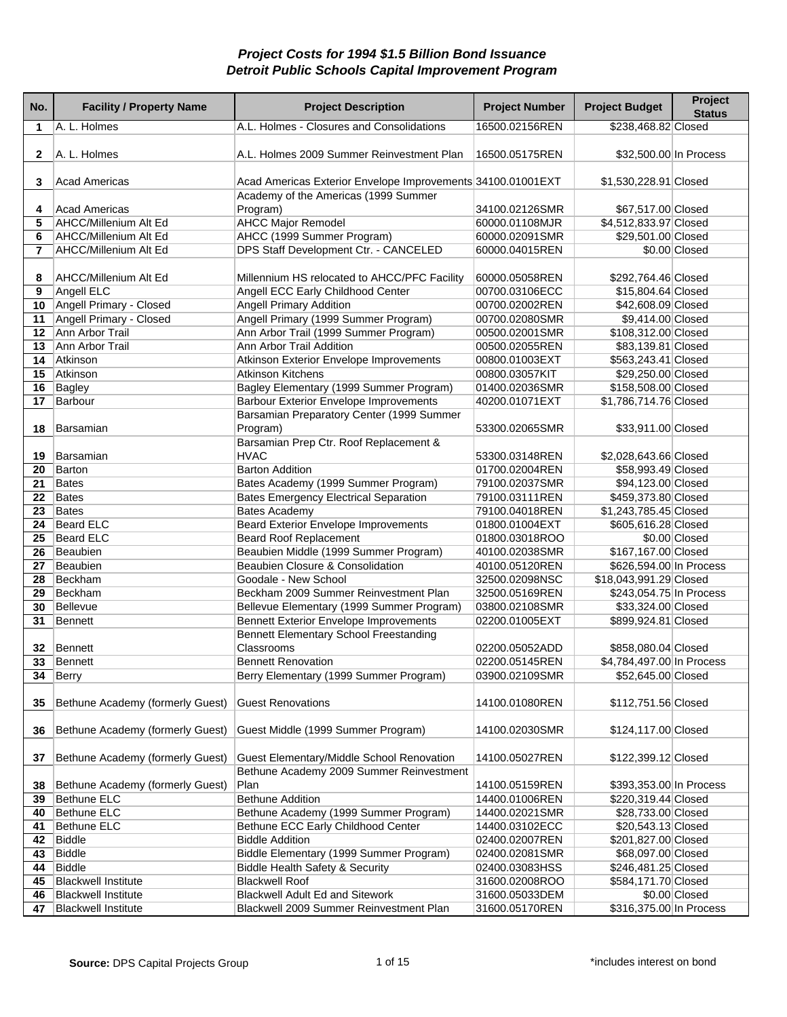| No.             | <b>Facility / Property Name</b>                        | <b>Project Description</b>                                                  | <b>Project Number</b>            | <b>Project Budget</b>                        | Project<br><b>Status</b> |
|-----------------|--------------------------------------------------------|-----------------------------------------------------------------------------|----------------------------------|----------------------------------------------|--------------------------|
| 1               | A. L. Holmes                                           | A.L. Holmes - Closures and Consolidations                                   | 16500.02156REN                   | \$238,468.82 Closed                          |                          |
| 2               | A. L. Holmes                                           | A.L. Holmes 2009 Summer Reinvestment Plan                                   | 16500.05175REN                   | \$32,500.00 In Process                       |                          |
| 3               | <b>Acad Americas</b>                                   | Acad Americas Exterior Envelope Improvements 34100.01001EXT                 |                                  | \$1,530,228.91 Closed                        |                          |
|                 |                                                        | Academy of the Americas (1999 Summer                                        |                                  |                                              |                          |
| 4<br>5          | Acad Americas<br>AHCC/Millenium Alt Ed                 | Program)<br><b>AHCC Major Remodel</b>                                       | 34100.02126SMR<br>60000.01108MJR | \$67,517.00 Closed<br>\$4,512,833.97 Closed  |                          |
| 6               | AHCC/Millenium Alt Ed                                  | AHCC (1999 Summer Program)                                                  | 60000.02091SMR                   | \$29,501.00 Closed                           |                          |
| 7               | AHCC/Millenium Alt Ed                                  | DPS Staff Development Ctr. - CANCELED                                       | 60000.04015REN                   |                                              | \$0.00 Closed            |
|                 |                                                        |                                                                             |                                  |                                              |                          |
| 8               | AHCC/Millenium Alt Ed                                  | Millennium HS relocated to AHCC/PFC Facility                                | 60000.05058REN                   | \$292,764.46 Closed                          |                          |
| 9               | Angell ELC                                             | Angell ECC Early Childhood Center                                           | 00700.03106ECC                   | \$15,804.64 Closed                           |                          |
| 10              | Angell Primary - Closed                                | <b>Angell Primary Addition</b>                                              | 00700.02002REN                   | \$42,608.09 Closed                           |                          |
| 11              | Angell Primary - Closed                                | Angell Primary (1999 Summer Program)                                        | 00700.02080SMR                   | \$9,414.00 Closed                            |                          |
| 12              | Ann Arbor Trail                                        | Ann Arbor Trail (1999 Summer Program)                                       | 00500.02001SMR                   | \$108,312.00 Closed                          |                          |
| 13              | Ann Arbor Trail                                        | Ann Arbor Trail Addition                                                    | 00500.02055REN                   | \$83,139.81 Closed                           |                          |
| 14              | Atkinson                                               | Atkinson Exterior Envelope Improvements                                     | 00800.01003EXT                   | \$563,243.41 Closed                          |                          |
| 15              | Atkinson                                               | <b>Atkinson Kitchens</b>                                                    | 00800.03057KIT                   | \$29,250.00 Closed                           |                          |
| 16              | Bagley                                                 | Bagley Elementary (1999 Summer Program)                                     | 01400.02036SMR                   | \$158,508.00 Closed                          |                          |
| 17              | Barbour                                                | <b>Barbour Exterior Envelope Improvements</b>                               | 40200.01071EXT                   | \$1,786,714.76 Closed                        |                          |
|                 |                                                        | Barsamian Preparatory Center (1999 Summer                                   |                                  |                                              |                          |
| 18              | Barsamian                                              | Program)                                                                    | 53300.02065SMR                   | \$33,911.00 Closed                           |                          |
|                 |                                                        | Barsamian Prep Ctr. Roof Replacement &                                      |                                  |                                              |                          |
| 19              | Barsamian                                              | <b>HVAC</b>                                                                 | 53300.03148REN                   | \$2,028,643.66 Closed                        |                          |
| 20              | Barton                                                 | <b>Barton Addition</b>                                                      | 01700.02004REN                   | \$58,993.49 Closed                           |                          |
| 21<br>22        | Bates                                                  | Bates Academy (1999 Summer Program)                                         | 79100.02037SMR                   | \$94,123.00 Closed                           |                          |
| 23              | Bates<br>Bates                                         | <b>Bates Emergency Electrical Separation</b><br><b>Bates Academy</b>        | 79100.03111REN                   | \$459,373.80 Closed<br>\$1,243,785.45 Closed |                          |
| 24              | Beard ELC                                              | <b>Beard Exterior Envelope Improvements</b>                                 | 79100.04018REN<br>01800.01004EXT | \$605,616.28 Closed                          |                          |
| 25              | Beard ELC                                              | <b>Beard Roof Replacement</b>                                               | 01800.03018ROO                   |                                              | \$0.00 Closed            |
| 26              | Beaubien                                               | Beaubien Middle (1999 Summer Program)                                       | 40100.02038SMR                   | \$167,167.00 Closed                          |                          |
| 27              | Beaubien                                               | Beaubien Closure & Consolidation                                            | 40100.05120REN                   | \$626,594.00 In Process                      |                          |
| 28              | Beckham                                                | Goodale - New School                                                        | 32500.02098NSC                   | \$18,043,991.29 Closed                       |                          |
| 29              | Beckham                                                | Beckham 2009 Summer Reinvestment Plan                                       | 32500.05169REN                   | \$243,054.75 In Process                      |                          |
| 30              | Bellevue                                               | Bellevue Elementary (1999 Summer Program)                                   | 03800.02108SMR                   | \$33,324.00 Closed                           |                          |
| 31              | Bennett                                                | <b>Bennett Exterior Envelope Improvements</b>                               | 02200.01005EXT                   | \$899,924.81 Closed                          |                          |
|                 |                                                        | <b>Bennett Elementary School Freestanding</b>                               |                                  |                                              |                          |
| 32 <sub>2</sub> | Bennett                                                | Classrooms                                                                  | 02200.05052ADD                   | \$858,080.04 Closed                          |                          |
| 33 <sub>o</sub> | Bennett                                                | <b>Bennett Renovation</b>                                                   | 02200.05145REN                   | \$4,784,497.00 In Process                    |                          |
| 34              | Berry                                                  | Berry Elementary (1999 Summer Program)                                      | 03900.02109SMR                   | \$52,645.00 Closed                           |                          |
|                 |                                                        |                                                                             |                                  |                                              |                          |
| 35              | Bethune Academy (formerly Guest)                       | <b>Guest Renovations</b>                                                    | 14100.01080REN                   | \$112,751.56 Closed                          |                          |
|                 |                                                        |                                                                             |                                  |                                              |                          |
| 36              | Bethune Academy (formerly Guest)                       | Guest Middle (1999 Summer Program)                                          | 14100.02030SMR                   | \$124,117.00 Closed                          |                          |
|                 |                                                        |                                                                             |                                  |                                              |                          |
| 37              | Bethune Academy (formerly Guest)                       | Guest Elementary/Middle School Renovation                                   | 14100.05027REN                   | \$122,399.12 Closed                          |                          |
|                 |                                                        | Bethune Academy 2009 Summer Reinvestment                                    |                                  |                                              |                          |
| 38              | Bethune Academy (formerly Guest)<br><b>Bethune ELC</b> | Plan                                                                        | 14100.05159REN                   | \$393,353.00 In Process                      |                          |
| 39              | <b>Bethune ELC</b>                                     | <b>Bethune Addition</b>                                                     | 14400.01006REN                   | \$220,319.44 Closed                          |                          |
| 40<br>41        | <b>Bethune ELC</b>                                     | Bethune Academy (1999 Summer Program)<br>Bethune ECC Early Childhood Center | 14400.02021SMR<br>14400.03102ECC | \$28,733.00 Closed<br>\$20,543.13 Closed     |                          |
| 42              | Biddle                                                 | <b>Biddle Addition</b>                                                      | 02400.02007REN                   | \$201,827.00 Closed                          |                          |
| 43              | <b>Biddle</b>                                          | Biddle Elementary (1999 Summer Program)                                     | 02400.02081SMR                   | \$68,097.00 Closed                           |                          |
| 44              | Biddle                                                 | <b>Biddle Health Safety &amp; Security</b>                                  | 02400.03083HSS                   | \$246,481.25 Closed                          |                          |
| 45              | <b>Blackwell Institute</b>                             | <b>Blackwell Roof</b>                                                       | 31600.02008ROO                   | \$584,171.70 Closed                          |                          |
| 46              | <b>Blackwell Institute</b>                             | <b>Blackwell Adult Ed and Sitework</b>                                      | 31600.05033DEM                   |                                              | \$0.00 Closed            |
| 47              | <b>Blackwell Institute</b>                             | Blackwell 2009 Summer Reinvestment Plan                                     | 31600.05170REN                   | \$316,375.00 In Process                      |                          |
|                 |                                                        |                                                                             |                                  |                                              |                          |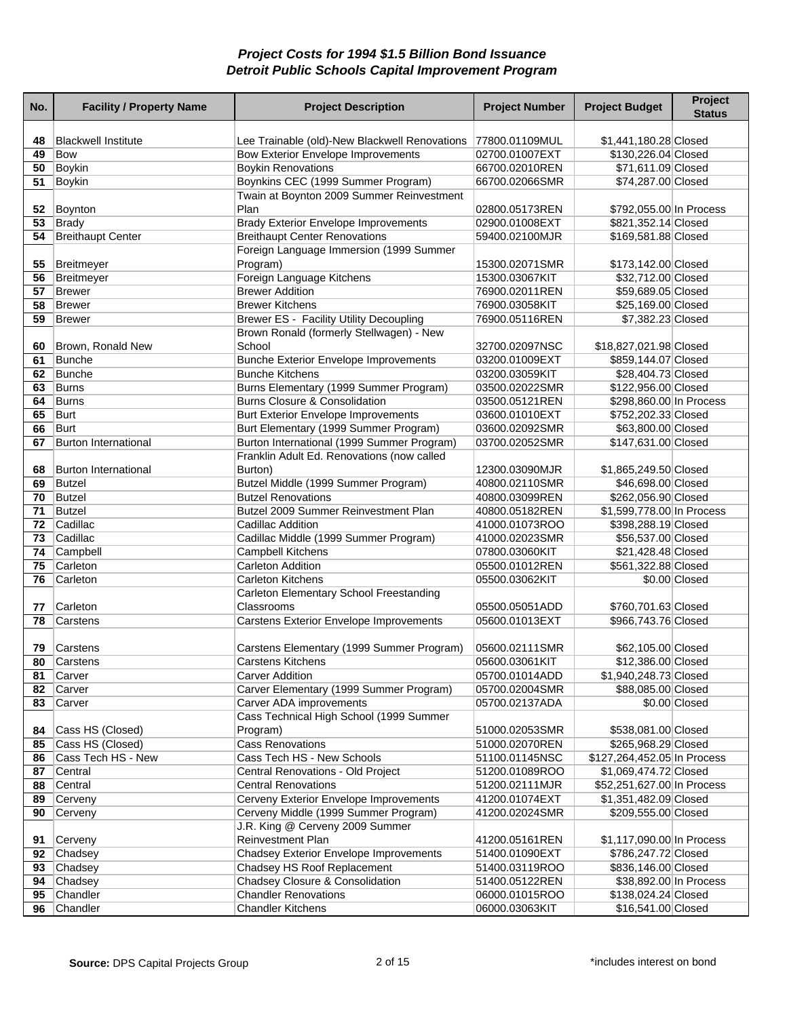| No.      | <b>Facility / Property Name</b>   | <b>Project Description</b>                                                                 | <b>Project Number</b>            | <b>Project Budget</b>                        | Project<br><b>Status</b> |
|----------|-----------------------------------|--------------------------------------------------------------------------------------------|----------------------------------|----------------------------------------------|--------------------------|
|          |                                   |                                                                                            |                                  |                                              |                          |
| 48<br>49 | <b>Blackwell Institute</b><br>Bow | Lee Trainable (old)-New Blackwell Renovations<br><b>Bow Exterior Envelope Improvements</b> | 77800.01109MUL<br>02700.01007EXT | \$1,441,180.28 Closed<br>\$130,226.04 Closed |                          |
| 50       | <b>Boykin</b>                     | <b>Boykin Renovations</b>                                                                  | 66700.02010REN                   | \$71,611.09 Closed                           |                          |
| 51       | Boykin                            | Boynkins CEC (1999 Summer Program)                                                         | 66700.02066SMR                   | \$74,287.00 Closed                           |                          |
|          |                                   | Twain at Boynton 2009 Summer Reinvestment                                                  |                                  |                                              |                          |
| 52       | Boynton                           | Plan                                                                                       | 02800.05173REN                   | \$792,055.00 In Process                      |                          |
| 53       | <b>Brady</b>                      | <b>Brady Exterior Envelope Improvements</b>                                                | 02900.01008EXT                   | \$821,352.14 Closed                          |                          |
| 54       | <b>Breithaupt Center</b>          | <b>Breithaupt Center Renovations</b>                                                       | 59400.02100MJR                   | \$169,581.88 Closed                          |                          |
|          |                                   | Foreign Language Immersion (1999 Summer                                                    |                                  |                                              |                          |
| 55       | Breitmeyer                        | Program)                                                                                   | 15300.02071SMR                   | \$173,142.00 Closed                          |                          |
| 56       | Breitmeyer                        | Foreign Language Kitchens                                                                  | 15300.03067KIT                   | \$32,712.00 Closed                           |                          |
| 57       | Brewer                            | <b>Brewer Addition</b>                                                                     | 76900.02011REN                   | \$59,689.05 Closed                           |                          |
| 58       | Brewer                            | <b>Brewer Kitchens</b>                                                                     | 76900.03058KIT                   | \$25,169.00 Closed                           |                          |
| 59       | <b>Brewer</b>                     | <b>Brewer ES - Facility Utility Decoupling</b>                                             | 76900.05116REN                   | \$7,382.23 Closed                            |                          |
|          |                                   | Brown Ronald (formerly Stellwagen) - New                                                   |                                  |                                              |                          |
| 60       | Brown, Ronald New                 | School                                                                                     | 32700.02097NSC                   | \$18,827,021.98 Closed                       |                          |
| 61       | Bunche                            | <b>Bunche Exterior Envelope Improvements</b>                                               | 03200.01009EXT                   | \$859,144.07 Closed                          |                          |
| 62       | Bunche                            | <b>Bunche Kitchens</b>                                                                     | 03200.03059KIT                   | \$28,404.73 Closed                           |                          |
| 63       | Burns                             | Burns Elementary (1999 Summer Program)                                                     | 03500.02022SMR                   | \$122,956.00 Closed                          |                          |
| 64       | <b>Burns</b>                      | <b>Burns Closure &amp; Consolidation</b>                                                   | 03500.05121REN                   | \$298,860.00 In Process                      |                          |
| 65       | Burt                              | <b>Burt Exterior Envelope Improvements</b>                                                 | 03600.01010EXT                   | \$752,202.33 Closed                          |                          |
| 66       | Burt                              | Burt Elementary (1999 Summer Program)                                                      | 03600.02092SMR                   | \$63,800.00 Closed                           |                          |
| 67       | <b>Burton International</b>       | Burton International (1999 Summer Program)                                                 | 03700.02052SMR                   | \$147,631.00 Closed                          |                          |
|          |                                   | Franklin Adult Ed. Renovations (now called                                                 |                                  |                                              |                          |
| 68       | <b>Burton International</b>       | Burton)                                                                                    | 12300.03090MJR                   | \$1,865,249.50 Closed                        |                          |
| 69       | Butzel                            | Butzel Middle (1999 Summer Program)                                                        | 40800.02110SMR                   | \$46,698.00 Closed                           |                          |
| 70       | <b>Butzel</b>                     | <b>Butzel Renovations</b>                                                                  | 40800.03099REN                   | \$262,056.90 Closed                          |                          |
| 71       | <b>Butzel</b>                     | Butzel 2009 Summer Reinvestment Plan                                                       | 40800.05182REN                   | \$1,599,778.00 In Process                    |                          |
| 72       | Cadillac                          | Cadillac Addition                                                                          | 41000.01073ROO                   | \$398,288.19 Closed                          |                          |
| 73       | Cadillac                          | Cadillac Middle (1999 Summer Program)                                                      | 41000.02023SMR                   | \$56,537.00 Closed                           |                          |
| 74       | Campbell                          | Campbell Kitchens                                                                          | 07800.03060KIT                   | \$21,428.48 Closed                           |                          |
| 75       | Carleton                          | Carleton Addition                                                                          | 05500.01012REN                   | \$561,322.88 Closed                          |                          |
| 76       | Carleton                          | <b>Carleton Kitchens</b>                                                                   | 05500.03062KIT                   |                                              | \$0.00 Closed            |
|          |                                   | Carleton Elementary School Freestanding                                                    |                                  |                                              |                          |
| 77       | Carleton                          | Classrooms                                                                                 | 05500.05051ADD                   | \$760,701.63 Closed                          |                          |
| 78       | Carstens                          | Carstens Exterior Envelope Improvements                                                    | 05600.01013EXT                   | \$966,743.76 Closed                          |                          |
|          |                                   |                                                                                            | 05600.02111SMR                   |                                              |                          |
| 79<br>80 | Carstens<br>Carstens              | Carstens Elementary (1999 Summer Program)<br><b>Carstens Kitchens</b>                      | 05600.03061KIT                   | \$62,105.00 Closed<br>\$12,386,00 Closed     |                          |
| 81       | Carver                            | <b>Carver Addition</b>                                                                     | 05700.01014ADD                   | \$1,940,248.73 Closed                        |                          |
| 82       | Carver                            | Carver Elementary (1999 Summer Program)                                                    | 05700.02004SMR                   | \$88,085.00 Closed                           |                          |
|          | 83 Carver                         | Carver ADA improvements                                                                    | 05700.02137ADA                   |                                              | \$0.00 Closed            |
|          |                                   | Cass Technical High School (1999 Summer                                                    |                                  |                                              |                          |
| 84       | Cass HS (Closed)                  | Program)                                                                                   | 51000.02053SMR                   | \$538,081.00 Closed                          |                          |
| 85       | Cass HS (Closed)                  | <b>Cass Renovations</b>                                                                    | 51000.02070REN                   | \$265,968.29 Closed                          |                          |
| 86       | Cass Tech HS - New                | Cass Tech HS - New Schools                                                                 | 51100.01145NSC                   | \$127,264,452.05 In Process                  |                          |
| 87       | Central                           | Central Renovations - Old Project                                                          | 51200.01089ROO                   | \$1,069,474.72 Closed                        |                          |
| 88       | Central                           | <b>Central Renovations</b>                                                                 | 51200.02111MJR                   | \$52,251,627.00 In Process                   |                          |
| 89       | Cerveny                           | Cerveny Exterior Envelope Improvements                                                     | 41200.01074EXT                   | \$1,351,482.09 Closed                        |                          |
| 90       | Cerveny                           | Cerveny Middle (1999 Summer Program)                                                       | 41200.02024SMR                   | \$209,555.00 Closed                          |                          |
|          |                                   | J.R. King @ Cerveny 2009 Summer                                                            |                                  |                                              |                          |
| 91       | Cerveny                           | <b>Reinvestment Plan</b>                                                                   | 41200.05161REN                   | \$1,117,090.00 In Process                    |                          |
|          | 92 Chadsey                        | <b>Chadsey Exterior Envelope Improvements</b>                                              | 51400.01090EXT                   | \$786,247.72 Closed                          |                          |
| 93       | Chadsey                           | Chadsey HS Roof Replacement                                                                | 51400.03119ROO                   | \$836,146.00 Closed                          |                          |
| 94       | Chadsey                           | Chadsey Closure & Consolidation                                                            | 51400.05122REN                   | \$38,892.00 In Process                       |                          |
| 95       | Chandler                          | <b>Chandler Renovations</b>                                                                | 06000.01015ROO                   | \$138,024.24 Closed                          |                          |
| 96       | Chandler                          | <b>Chandler Kitchens</b>                                                                   | 06000.03063KIT                   | \$16,541.00 Closed                           |                          |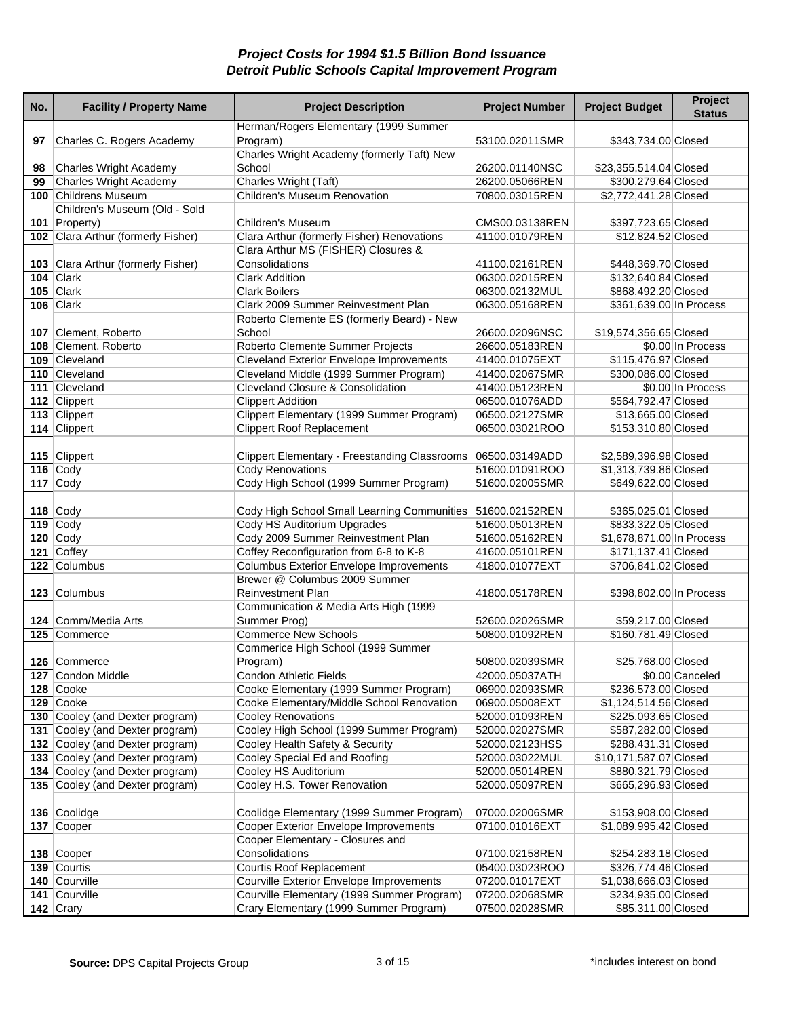| No. | <b>Facility / Property Name</b>                                    | <b>Project Description</b>                                | <b>Project Number</b>            | <b>Project Budget</b>                         | Project<br><b>Status</b> |
|-----|--------------------------------------------------------------------|-----------------------------------------------------------|----------------------------------|-----------------------------------------------|--------------------------|
| 97  | Charles C. Rogers Academy                                          | Herman/Rogers Elementary (1999 Summer<br>Program)         | 53100.02011SMR                   | \$343,734.00 Closed                           |                          |
|     |                                                                    | Charles Wright Academy (formerly Taft) New                |                                  |                                               |                          |
| 98  | Charles Wright Academy                                             | School                                                    | 26200.01140NSC                   | \$23,355,514.04 Closed                        |                          |
| 99  | Charles Wright Academy                                             | Charles Wright (Taft)                                     | 26200.05066REN                   | \$300,279.64 Closed                           |                          |
|     | 100 Childrens Museum                                               | Children's Museum Renovation                              | 70800.03015REN                   | \$2,772,441.28 Closed                         |                          |
|     | Children's Museum (Old - Sold<br>101 Property)                     | Children's Museum                                         | CMS00.03138REN                   | \$397,723.65 Closed                           |                          |
|     | 102 Clara Arthur (formerly Fisher)                                 | Clara Arthur (formerly Fisher) Renovations                | 41100.01079REN                   | \$12,824.52 Closed                            |                          |
|     | 103 Clara Arthur (formerly Fisher)                                 | Clara Arthur MS (FISHER) Closures &<br>Consolidations     | 41100.02161REN                   | \$448,369.70 Closed                           |                          |
|     | 104 $ $ Clark                                                      | <b>Clark Addition</b>                                     | 06300.02015REN                   | \$132,640.84 Closed                           |                          |
|     | $105$ Clark                                                        | <b>Clark Boilers</b>                                      | 06300.02132MUL                   | \$868,492.20 Closed                           |                          |
|     | 106 Clark                                                          | Clark 2009 Summer Reinvestment Plan                       | 06300.05168REN                   | \$361,639.00 In Process                       |                          |
|     | 107 Clement, Roberto                                               | Roberto Clemente ES (formerly Beard) - New<br>School      | 26600.02096NSC                   | \$19,574,356.65 Closed                        |                          |
|     | 108 Clement, Roberto                                               | Roberto Clemente Summer Projects                          | 26600.05183REN                   |                                               | \$0.00 In Process        |
|     | 109 Cleveland                                                      | <b>Cleveland Exterior Envelope Improvements</b>           | 41400.01075EXT                   | \$115,476.97 Closed                           |                          |
|     | 110 Cleveland                                                      | Cleveland Middle (1999 Summer Program)                    | 41400.02067SMR                   | \$300,086.00 Closed                           |                          |
|     | 111 Cleveland                                                      | Cleveland Closure & Consolidation                         | 41400.05123REN                   |                                               | \$0.00 In Process        |
|     | 112 Clippert                                                       | <b>Clippert Addition</b>                                  | 06500.01076ADD                   | \$564,792.47 Closed                           |                          |
|     | 113 Clippert                                                       | Clippert Elementary (1999 Summer Program)                 | 06500.02127SMR                   | \$13,665.00 Closed                            |                          |
|     | 114 Clippert                                                       | <b>Clippert Roof Replacement</b>                          | 06500.03021ROO                   | \$153,310.80 Closed                           |                          |
|     |                                                                    |                                                           |                                  |                                               |                          |
|     | 115 Clippert                                                       | <b>Clippert Elementary - Freestanding Classrooms</b>      | 06500.03149ADD                   | \$2,589,396.98 Closed                         |                          |
|     | 116 $\overline{\text{Cody}}$                                       | <b>Cody Renovations</b>                                   | 51600.01091ROO                   | \$1,313,739.86 Closed                         |                          |
|     | 117 $\vert$ Cody                                                   | Cody High School (1999 Summer Program)                    | 51600.02005SMR                   | \$649,622.00 Closed                           |                          |
|     | 118 $\vert$ Cody                                                   | Cody High School Small Learning Communities               | 51600.02152REN                   | \$365,025.01 Closed                           |                          |
|     | 119 $\vert$ Cody                                                   | Cody HS Auditorium Upgrades                               | 51600.05013REN                   | \$833,322.05 Closed                           |                          |
|     | 120 $\vert$ Cody                                                   | Cody 2009 Summer Reinvestment Plan                        | 51600.05162REN                   | \$1,678,871.00 In Process                     |                          |
|     | 121 Coffey                                                         | Coffey Reconfiguration from 6-8 to K-8                    | 41600.05101REN                   | \$171,137.41 Closed                           |                          |
|     | 122 Columbus                                                       | <b>Columbus Exterior Envelope Improvements</b>            | 41800.01077EXT                   | \$706,841.02 Closed                           |                          |
|     | 123 Columbus                                                       | Brewer @ Columbus 2009 Summer<br><b>Reinvestment Plan</b> | 41800.05178REN                   | \$398,802.00 In Process                       |                          |
|     |                                                                    | Communication & Media Arts High (1999                     |                                  |                                               |                          |
|     | 124 Comm/Media Arts                                                | Summer Prog)                                              | 52600.02026SMR                   | \$59,217.00 Closed                            |                          |
|     | 125 Commerce                                                       | <b>Commerce New Schools</b>                               | 50800.01092REN                   | \$160,781.49 Closed                           |                          |
|     |                                                                    | Commerice High School (1999 Summer                        |                                  |                                               |                          |
|     | 126 Commerce                                                       | Program)                                                  | 50800.02039SMR                   | \$25,768.00 Closed                            |                          |
|     | 127 Condon Middle                                                  | Condon Athletic Fields                                    | 42000.05037ATH                   |                                               | \$0.00 Canceled          |
|     | 128 Cooke                                                          | Cooke Elementary (1999 Summer Program)                    | 06900.02093SMR                   | \$236,573.00 Closed                           |                          |
|     | 129 Cooke                                                          | Cooke Elementary/Middle School Renovation                 | 06900.05008EXT                   | \$1,124,514.56 Closed                         |                          |
|     | 130 Cooley (and Dexter program)                                    | <b>Cooley Renovations</b>                                 | 52000.01093REN                   | \$225,093.65 Closed                           |                          |
|     | 131 Cooley (and Dexter program)                                    | Cooley High School (1999 Summer Program)                  | 52000.02027SMR                   | \$587,282.00 Closed                           |                          |
|     | 132 Cooley (and Dexter program)<br>133 Cooley (and Dexter program) | Cooley Health Safety & Security                           | 52000.02123HSS                   | \$288,431.31 Closed                           |                          |
|     | 134 Cooley (and Dexter program)                                    | Cooley Special Ed and Roofing<br>Cooley HS Auditorium     | 52000.03022MUL<br>52000.05014REN | \$10,171,587.07 Closed<br>\$880,321.79 Closed |                          |
|     | 135 Cooley (and Dexter program)                                    | Cooley H.S. Tower Renovation                              | 52000.05097REN                   | \$665,296.93 Closed                           |                          |
|     |                                                                    |                                                           |                                  |                                               |                          |
|     | 136 Coolidge                                                       | Coolidge Elementary (1999 Summer Program)                 | 07000.02006SMR                   | \$153,908.00 Closed                           |                          |
|     | 137 Cooper                                                         | Cooper Exterior Envelope Improvements                     | 07100.01016EXT                   | \$1,089,995.42 Closed                         |                          |
|     |                                                                    | Cooper Elementary - Closures and                          |                                  |                                               |                          |
|     | 138 Cooper                                                         | Consolidations                                            | 07100.02158REN                   | \$254,283.18 Closed                           |                          |
|     | 139 Courtis                                                        | Courtis Roof Replacement                                  | 05400.03023ROO                   | \$326,774.46 Closed                           |                          |
|     | 140 Courville                                                      | <b>Courville Exterior Envelope Improvements</b>           | 07200.01017EXT                   | \$1,038,666.03 Closed                         |                          |
|     | 141 Courville                                                      | Courville Elementary (1999 Summer Program)                | 07200.02068SMR                   | \$234,935.00 Closed                           |                          |
|     | $\overline{142}$ Crary                                             | Crary Elementary (1999 Summer Program)                    | 07500.02028SMR                   | \$85,311.00 Closed                            |                          |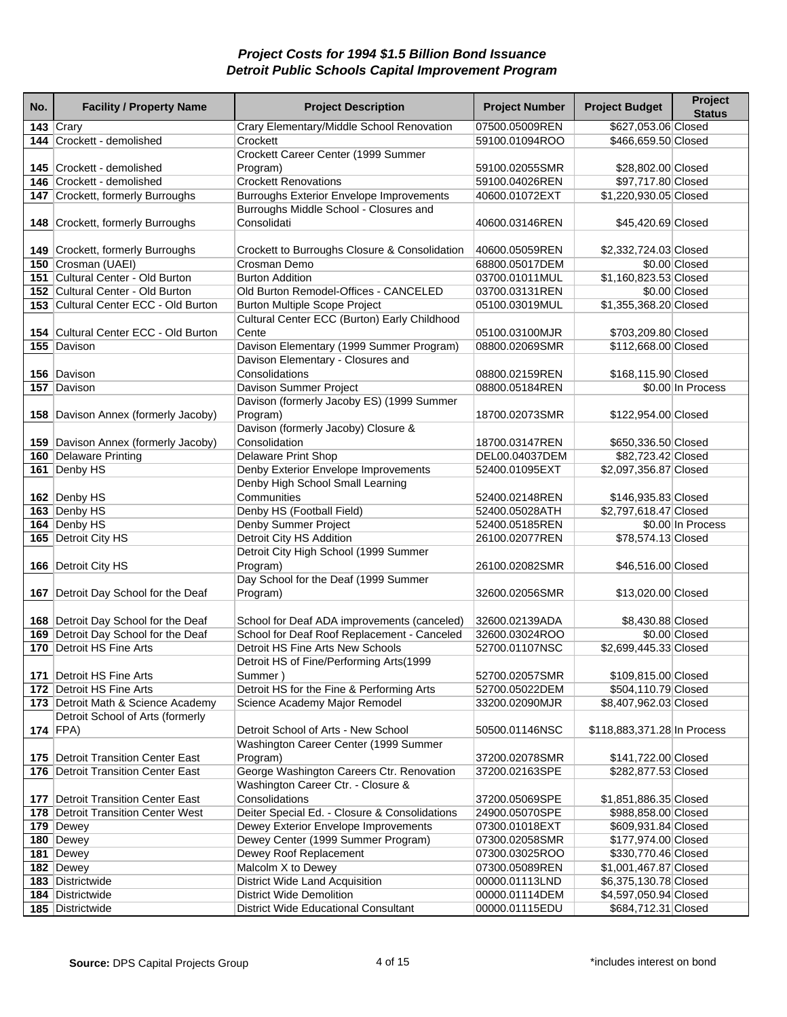| No. | <b>Facility / Property Name</b>                                            | <b>Project Description</b>                            | <b>Project Number</b> | <b>Project Budget</b>       | Project<br><b>Status</b> |
|-----|----------------------------------------------------------------------------|-------------------------------------------------------|-----------------------|-----------------------------|--------------------------|
|     | 143 $Cary$                                                                 | Crary Elementary/Middle School Renovation             | 07500.05009REN        | \$627,053.06 Closed         |                          |
|     | 144 Crockett - demolished                                                  | Crockett                                              | 59100.01094ROO        | \$466,659.50 Closed         |                          |
|     |                                                                            | Crockett Career Center (1999 Summer                   |                       |                             |                          |
|     | 145 Crockett - demolished                                                  | Program)                                              | 59100.02055SMR        | \$28,802.00 Closed          |                          |
|     | 146 Crockett - demolished                                                  | <b>Crockett Renovations</b>                           | 59100.04026REN        | \$97,717.80 Closed          |                          |
|     | 147 Crockett, formerly Burroughs                                           | <b>Burroughs Exterior Envelope Improvements</b>       | 40600.01072EXT        | \$1,220,930.05 Closed       |                          |
|     | 148 Crockett, formerly Burroughs                                           | Burroughs Middle School - Closures and<br>Consolidati | 40600.03146REN        | \$45,420.69 Closed          |                          |
|     | 149 Crockett, formerly Burroughs                                           | Crockett to Burroughs Closure & Consolidation         | 40600.05059REN        | \$2,332,724.03 Closed       |                          |
|     | 150 Crosman (UAEI)                                                         | Crosman Demo                                          | 68800.05017DEM        |                             | \$0.00 Closed            |
|     | 151 Cultural Center - Old Burton                                           | <b>Burton Addition</b>                                | 03700.01011MUL        | \$1,160,823.53 Closed       |                          |
|     | 152 Cultural Center - Old Burton                                           | Old Burton Remodel-Offices - CANCELED                 | 03700.03131REN        |                             | \$0.00 Closed            |
|     | 153 Cultural Center ECC - Old Burton                                       | <b>Burton Multiple Scope Project</b>                  | 05100.03019MUL        | \$1,355,368.20 Closed       |                          |
|     |                                                                            | Cultural Center ECC (Burton) Early Childhood          |                       |                             |                          |
|     | 154 Cultural Center ECC - Old Burton                                       | Cente                                                 | 05100.03100MJR        | \$703,209.80 Closed         |                          |
|     | 155 Davison                                                                | Davison Elementary (1999 Summer Program)              | 08800.02069SMR        | \$112,668.00 Closed         |                          |
|     |                                                                            | Davison Elementary - Closures and                     |                       |                             |                          |
|     | 156 Davison                                                                | Consolidations                                        | 08800.02159REN        | \$168,115.90 Closed         |                          |
|     | 157 Davison                                                                | Davison Summer Project                                | 08800.05184REN        |                             | \$0.00 In Process        |
|     |                                                                            | Davison (formerly Jacoby ES) (1999 Summer             |                       |                             |                          |
|     | 158 Davison Annex (formerly Jacoby)                                        | Program)                                              | 18700.02073SMR        | \$122,954.00 Closed         |                          |
|     |                                                                            | Davison (formerly Jacoby) Closure &                   |                       |                             |                          |
|     | 159 Davison Annex (formerly Jacoby)                                        | Consolidation                                         | 18700.03147REN        | \$650,336.50 Closed         |                          |
|     | 160 Delaware Printing                                                      | <b>Delaware Print Shop</b>                            | DEL00.04037DEM        | \$82,723.42 Closed          |                          |
|     | 161 Denby HS                                                               | Denby Exterior Envelope Improvements                  | 52400.01095EXT        | \$2,097,356.87 Closed       |                          |
|     |                                                                            | Denby High School Small Learning                      |                       |                             |                          |
|     | 162 Denby HS                                                               | Communities                                           | 52400.02148REN        | \$146,935.83 Closed         |                          |
|     | 163 Denby HS                                                               | Denby HS (Football Field)                             | 52400.05028ATH        | \$2,797,618.47 Closed       |                          |
|     | 164 Denby HS                                                               | Denby Summer Project                                  | 52400.05185REN        |                             | \$0.00 In Process        |
|     | 165 Detroit City HS                                                        | Detroit City HS Addition                              | 26100.02077REN        | \$78,574.13 Closed          |                          |
|     |                                                                            | Detroit City High School (1999 Summer                 |                       |                             |                          |
|     | 166   Detroit City HS                                                      | Program)                                              | 26100.02082SMR        | \$46,516.00 Closed          |                          |
|     |                                                                            | Day School for the Deaf (1999 Summer                  |                       |                             |                          |
|     | 167 Detroit Day School for the Deaf                                        | Program)                                              | 32600.02056SMR        | \$13,020.00 Closed          |                          |
|     |                                                                            | School for Deaf ADA improvements (canceled)           | 32600.02139ADA        | \$8,430.88 Closed           |                          |
|     | 168 Detroit Day School for the Deaf<br>169 Detroit Day School for the Deaf | School for Deaf Roof Replacement - Canceled           | 32600.03024ROO        |                             | \$0.00 Closed            |
|     | 170 Detroit HS Fine Arts                                                   | Detroit HS Fine Arts New Schools                      | 52700.01107NSC        | \$2,699,445.33 Closed       |                          |
|     |                                                                            | Detroit HS of Fine/Performing Arts(1999               |                       |                             |                          |
|     | 171   Detroit HS Fine Arts                                                 | Summer)                                               | 52700.02057SMR        | \$109,815.00 Closed         |                          |
|     | 172 Detroit HS Fine Arts                                                   | Detroit HS for the Fine & Performing Arts             | 52700.05022DEM        | \$504,110.79 Closed         |                          |
|     | 173 Detroit Math & Science Academy                                         | Science Academy Major Remodel                         | 33200.02090MJR        | \$8,407,962.03 Closed       |                          |
|     | Detroit School of Arts (formerly                                           |                                                       |                       |                             |                          |
|     | 174 $ FPA\rangle$                                                          | Detroit School of Arts - New School                   | 50500.01146NSC        | \$118,883,371.28 In Process |                          |
|     |                                                                            | Washington Career Center (1999 Summer                 |                       |                             |                          |
|     | 175   Detroit Transition Center East                                       | Program)                                              | 37200.02078SMR        | \$141,722.00 Closed         |                          |
|     | 176   Detroit Transition Center East                                       | George Washington Careers Ctr. Renovation             | 37200.02163SPE        | \$282,877.53 Closed         |                          |
|     |                                                                            | Washington Career Ctr. - Closure &                    |                       |                             |                          |
|     | 177   Detroit Transition Center East                                       | Consolidations                                        | 37200.05069SPE        | \$1,851,886.35 Closed       |                          |
|     | 178   Detroit Transition Center West                                       | Deiter Special Ed. - Closure & Consolidations         | 24900.05070SPE        | \$988,858.00 Closed         |                          |
|     | 179 Dewey                                                                  | Dewey Exterior Envelope Improvements                  | 07300.01018EXT        | \$609,931.84 Closed         |                          |
|     | 180 Dewey                                                                  | Dewey Center (1999 Summer Program)                    | 07300.02058SMR        | \$177,974.00 Closed         |                          |
|     | 181 Dewey                                                                  | Dewey Roof Replacement                                | 07300.03025ROO        | \$330,770.46 Closed         |                          |
|     | 182 Dewey                                                                  | Malcolm X to Dewey                                    | 07300.05089REN        | \$1,001,467.87 Closed       |                          |
|     | 183 Districtwide                                                           | District Wide Land Acquisition                        | 00000.01113LND        | \$6,375,130.78 Closed       |                          |
|     | 184 Districtwide                                                           | <b>District Wide Demolition</b>                       | 00000.01114DEM        | \$4,597,050.94 Closed       |                          |
|     | 185 Districtwide                                                           | <b>District Wide Educational Consultant</b>           | 00000.01115EDU        | \$684,712.31 Closed         |                          |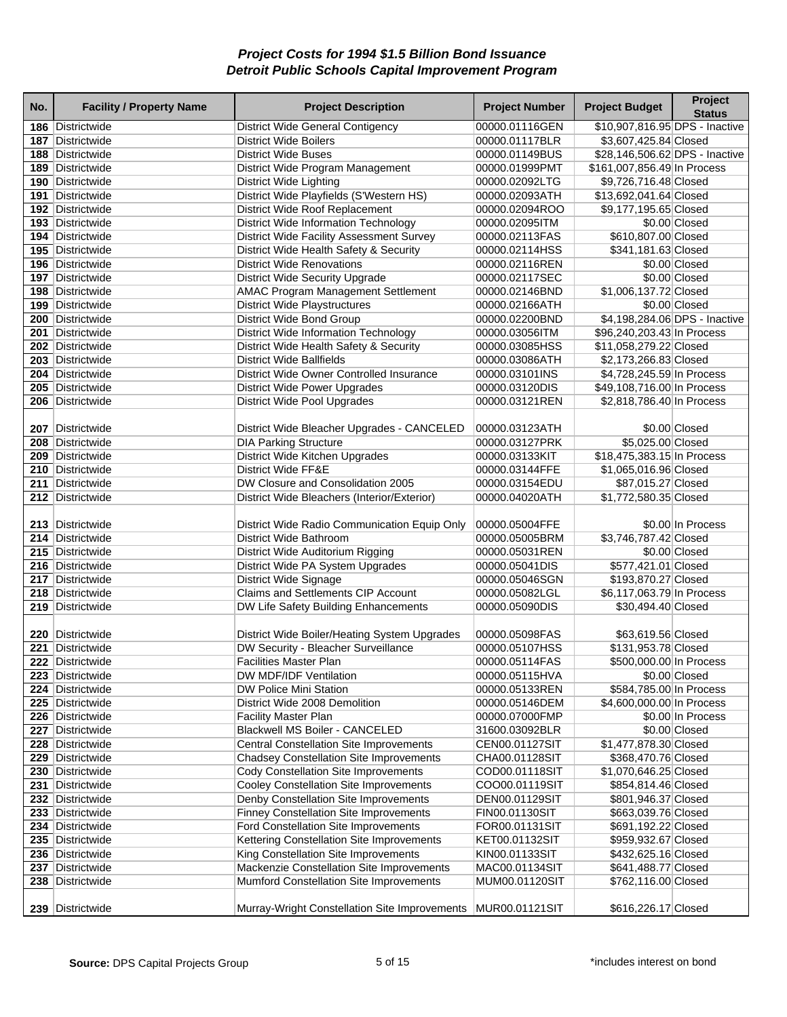| No. | <b>Facility / Property Name</b>      | <b>Project Description</b>                                                        | <b>Project Number</b>            | <b>Project Budget</b>                      | Project<br><b>Status</b>      |
|-----|--------------------------------------|-----------------------------------------------------------------------------------|----------------------------------|--------------------------------------------|-------------------------------|
|     | 186 Districtwide                     | District Wide General Contigency                                                  | 00000.01116GEN                   | \$10,907,816.95 DPS - Inactive             |                               |
|     | 187 Districtwide                     | <b>District Wide Boilers</b>                                                      | 00000.01117BLR                   | \$3,607,425.84 Closed                      |                               |
|     | 188 Districtwide                     | <b>District Wide Buses</b>                                                        | 00000.01149BUS                   | \$28,146,506.62 DPS - Inactive             |                               |
|     | 189 Districtwide                     | District Wide Program Management                                                  | 00000.01999PMT                   | \$161,007,856.49 In Process                |                               |
|     | 190 Districtwide                     | <b>District Wide Lighting</b>                                                     | 00000.02092LTG                   | \$9,726,716.48 Closed                      |                               |
|     | 191 Districtwide                     | District Wide Playfields (S'Western HS)                                           | 00000.02093ATH                   | \$13,692,041.64 Closed                     |                               |
|     | 192 Districtwide                     | District Wide Roof Replacement                                                    | 00000.02094ROO                   | \$9,177,195.65 Closed                      |                               |
|     | 193 Districtwide                     | <b>District Wide Information Technology</b>                                       | 00000.02095ITM                   |                                            | \$0.00 Closed                 |
|     | 194 Districtwide                     | <b>District Wide Facility Assessment Survey</b>                                   | 00000.02113FAS                   | \$610,807.00 Closed                        |                               |
|     | 195 Districtwide                     | District Wide Health Safety & Security                                            | 00000.02114HSS                   | \$341,181.63 Closed                        |                               |
|     | 196 Districtwide                     | <b>District Wide Renovations</b>                                                  | 00000.02116REN                   |                                            | \$0.00 Closed                 |
|     | 197 Districtwide                     | <b>District Wide Security Upgrade</b>                                             | 00000.02117SEC                   |                                            | \$0.00 Closed                 |
|     | 198 Districtwide                     | <b>AMAC Program Management Settlement</b>                                         | 00000.02146BND                   | \$1,006,137.72 Closed                      |                               |
|     | 199 Districtwide                     | <b>District Wide Playstructures</b>                                               | 00000.02166ATH                   |                                            | \$0.00 Closed                 |
|     | 200 Districtwide                     | <b>District Wide Bond Group</b>                                                   | 00000.02200BND                   |                                            | \$4,198,284.06 DPS - Inactive |
|     | 201 Districtwide                     | <b>District Wide Information Technology</b>                                       | 00000.03056ITM                   | \$96,240,203.43 In Process                 |                               |
|     | 202 Districtwide                     | District Wide Health Safety & Security                                            | 00000.03085HSS                   | \$11,058,279.22 Closed                     |                               |
|     | 203 Districtwide                     | <b>District Wide Ballfields</b>                                                   | 00000.03086ATH                   | \$2,173,266.83 Closed                      |                               |
|     | 204 Districtwide                     | District Wide Owner Controlled Insurance                                          | 00000.03101INS                   | \$4,728,245.59 In Process                  |                               |
|     | 205 Districtwide                     | <b>District Wide Power Upgrades</b>                                               | 00000.03120DIS                   | \$49,108,716.00 In Process                 |                               |
|     | 206 Districtwide                     | <b>District Wide Pool Upgrades</b>                                                | 00000.03121REN                   | \$2,818,786.40 In Process                  |                               |
|     |                                      |                                                                                   |                                  |                                            |                               |
|     | 207 Districtwide                     | District Wide Bleacher Upgrades - CANCELED                                        | 00000.03123ATH                   |                                            | \$0.00 Closed                 |
|     | 208 Districtwide                     | <b>DIA Parking Structure</b>                                                      | 00000.03127PRK                   | \$5,025.00 Closed                          |                               |
|     | 209 Districtwide                     | District Wide Kitchen Upgrades                                                    | 00000.03133KIT                   | \$18,475,383.15 In Process                 |                               |
|     | 210 Districtwide                     | District Wide FF&E                                                                | 00000.03144FFE                   | \$1,065,016.96 Closed                      |                               |
|     | 211 Districtwide                     | DW Closure and Consolidation 2005                                                 | 00000.03154EDU                   | \$87,015.27 Closed                         |                               |
|     | 212 Districtwide                     | District Wide Bleachers (Interior/Exterior)                                       | 00000.04020ATH                   | \$1,772,580.35 Closed                      |                               |
|     | 213 Districtwide                     | District Wide Radio Communication Equip Only                                      | 00000.05004FFE                   |                                            | \$0.00 In Process             |
|     | 214 Districtwide                     | District Wide Bathroom                                                            | 00000.05005BRM                   | \$3,746,787.42 Closed                      |                               |
|     | 215 Districtwide                     | District Wide Auditorium Rigging                                                  | 00000.05031REN                   |                                            | \$0.00 Closed                 |
|     | 216 Districtwide                     | District Wide PA System Upgrades                                                  | 00000.05041DIS                   | \$577,421.01 Closed                        |                               |
|     | 217 Districtwide                     | District Wide Signage                                                             | 00000.05046SGN                   | \$193,870.27 Closed                        |                               |
|     | 218 Districtwide                     | Claims and Settlements CIP Account                                                | 00000.05082LGL                   | \$6,117,063.79 In Process                  |                               |
|     | 219 Districtwide                     | DW Life Safety Building Enhancements                                              | 00000.05090DIS                   | \$30,494.40 Closed                         |                               |
|     |                                      |                                                                                   |                                  |                                            |                               |
|     | 220 Districtwide                     | District Wide Boiler/Heating System Upgrades                                      | 00000.05098FAS                   | \$63,619.56 Closed                         |                               |
|     | 221 Districtwide                     | DW Security - Bleacher Surveillance                                               | 00000.05107HSS                   | \$131,953.78 Closed                        |                               |
|     | 222 Districtwide                     | <b>Facilities Master Plan</b>                                                     | 00000.05114FAS                   | \$500,000.00 In Process                    |                               |
|     | 223 Districtwide                     | DW MDF/IDF Ventilation                                                            | 00000.05115HVA                   |                                            | \$0.00 Closed                 |
|     | 224 Districtwide                     | DW Police Mini Station                                                            | 00000.05133REN                   | \$584,785.00 In Process                    |                               |
|     | 225 Districtwide                     | District Wide 2008 Demolition                                                     | 00000.05146DEM                   | \$4,600,000.00 In Process                  |                               |
|     | 226 Districtwide                     | <b>Facility Master Plan</b>                                                       | 00000.07000FMP                   |                                            | \$0.00 In Process             |
|     | 227 Districtwide                     | Blackwell MS Boiler - CANCELED                                                    | 31600.03092BLR                   |                                            | \$0.00 Closed                 |
|     | 228 Districtwide                     | <b>Central Constellation Site Improvements</b>                                    | CEN00.01127SIT                   | \$1,477,878.30 Closed                      |                               |
|     | 229 Districtwide                     | <b>Chadsey Constellation Site Improvements</b>                                    | CHA00.01128SIT                   | \$368,470.76 Closed                        |                               |
|     | 230 Districtwide                     | Cody Constellation Site Improvements                                              | COD00.01118SIT                   | \$1,070,646.25 Closed                      |                               |
|     | 231 Districtwide                     | Cooley Constellation Site Improvements                                            | COO00.01119SIT                   | \$854,814.46 Closed                        |                               |
|     | 232 Districtwide                     | Denby Constellation Site Improvements                                             | DEN00.01129SIT                   | \$801,946.37 Closed                        |                               |
|     | 233 Districtwide                     | <b>Finney Constellation Site Improvements</b>                                     | FIN00.01130SIT                   | \$663,039.76 Closed                        |                               |
|     | 234 Districtwide                     | Ford Constellation Site Improvements                                              | FOR00.01131SIT                   | \$691,192.22 Closed                        |                               |
|     | 235 Districtwide                     | Kettering Constellation Site Improvements                                         | KET00.01132SIT                   | \$959,932.67 Closed                        |                               |
|     | 236 Districtwide<br>237 Districtwide | King Constellation Site Improvements<br>Mackenzie Constellation Site Improvements | KIN00.01133SIT<br>MAC00.01134SIT | \$432,625.16 Closed<br>\$641,488.77 Closed |                               |
|     | 238 Districtwide                     | Mumford Constellation Site Improvements                                           | MUM00.01120SIT                   | \$762,116.00 Closed                        |                               |
|     |                                      |                                                                                   |                                  |                                            |                               |
|     | 239 Districtwide                     | Murray-Wright Constellation Site Improvements   MUR00.01121SIT                    |                                  | \$616,226.17 Closed                        |                               |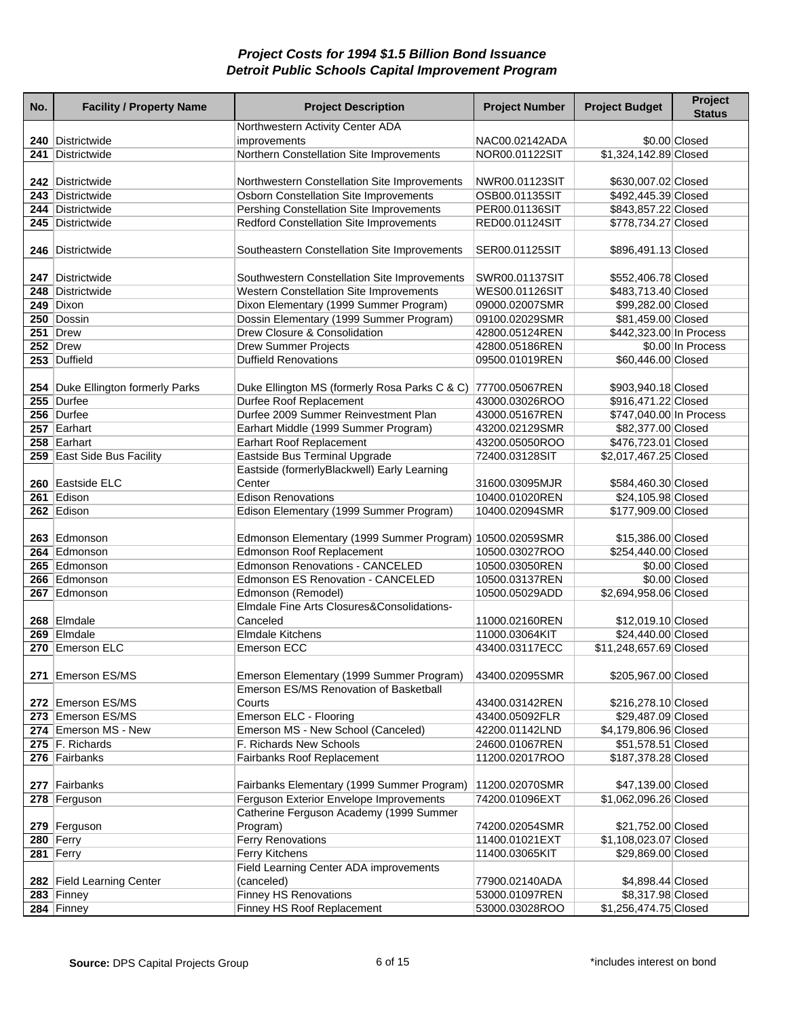| No. | <b>Facility / Property Name</b>   | <b>Project Description</b>                                                             | <b>Project Number</b>            | <b>Project Budget</b>                      | Project<br><b>Status</b> |
|-----|-----------------------------------|----------------------------------------------------------------------------------------|----------------------------------|--------------------------------------------|--------------------------|
|     |                                   | Northwestern Activity Center ADA                                                       |                                  |                                            |                          |
|     | 240 Districtwide                  | improvements                                                                           | NAC00.02142ADA                   |                                            | \$0.00 Closed            |
|     | 241 Districtwide                  | Northern Constellation Site Improvements                                               | NOR00.01122SIT                   | \$1,324,142.89 Closed                      |                          |
|     | 242 Districtwide                  |                                                                                        | NWR00.01123SIT                   |                                            |                          |
|     | 243 Districtwide                  | Northwestern Constellation Site Improvements<br>Osborn Constellation Site Improvements | OSB00.01135SIT                   | \$630,007.02 Closed<br>\$492,445.39 Closed |                          |
|     | 244 Districtwide                  | Pershing Constellation Site Improvements                                               | PER00.01136SIT                   | \$843,857.22 Closed                        |                          |
|     | 245 Districtwide                  | Redford Constellation Site Improvements                                                | RED00.01124SIT                   | \$778,734.27 Closed                        |                          |
|     |                                   |                                                                                        |                                  |                                            |                          |
|     | 246 Districtwide                  | Southeastern Constellation Site Improvements                                           | SER00.01125SIT                   | \$896,491.13 Closed                        |                          |
|     |                                   |                                                                                        |                                  |                                            |                          |
|     | 247 Districtwide                  | Southwestern Constellation Site Improvements                                           | SWR00.01137SIT                   | \$552,406.78 Closed                        |                          |
|     | 248 Districtwide                  | Western Constellation Site Improvements                                                | WES00.01126SIT                   | \$483,713.40 Closed                        |                          |
|     | 249 Dixon                         | Dixon Elementary (1999 Summer Program)                                                 | 09000.02007SMR                   | \$99,282.00 Closed                         |                          |
|     | 250 Dossin                        | Dossin Elementary (1999 Summer Program)                                                | 09100.02029SMR                   | \$81,459.00 Closed                         |                          |
|     | 251 Drew                          | Drew Closure & Consolidation                                                           | 42800.05124REN                   | \$442,323.00 In Process                    |                          |
|     | 252 Drew<br>253 Duffield          | <b>Drew Summer Projects</b><br><b>Duffield Renovations</b>                             | 42800.05186REN                   |                                            | \$0.00 In Process        |
|     |                                   |                                                                                        | 09500.01019REN                   | \$60,446.00 Closed                         |                          |
|     | 254 Duke Ellington formerly Parks | Duke Ellington MS (formerly Rosa Parks C & C) 77700.05067REN                           |                                  | \$903,940.18 Closed                        |                          |
|     | 255 Durfee                        | Durfee Roof Replacement                                                                | 43000.03026ROO                   | \$916,471.22 Closed                        |                          |
|     | 256 Durfee                        | Durfee 2009 Summer Reinvestment Plan                                                   | 43000.05167REN                   | \$747,040.00 In Process                    |                          |
|     | 257 Earhart                       | Earhart Middle (1999 Summer Program)                                                   | 43200.02129SMR                   | \$82,377.00 Closed                         |                          |
|     | 258 Earhart                       | <b>Earhart Roof Replacement</b>                                                        | 43200.05050ROO                   | \$476,723.01 Closed                        |                          |
|     | 259 East Side Bus Facility        | Eastside Bus Terminal Upgrade                                                          | 72400.03128SIT                   | \$2,017,467.25 Closed                      |                          |
|     |                                   | Eastside (formerlyBlackwell) Early Learning                                            |                                  |                                            |                          |
|     | 260 Eastside ELC                  | Center                                                                                 | 31600.03095MJR                   | \$584,460.30 Closed                        |                          |
|     | 261 Edison                        | <b>Edison Renovations</b>                                                              | 10400.01020REN                   | \$24,105.98 Closed                         |                          |
|     | 262 Edison                        | Edison Elementary (1999 Summer Program)                                                | 10400.02094SMR                   | \$177,909.00 Closed                        |                          |
|     |                                   |                                                                                        |                                  |                                            |                          |
|     | 263 Edmonson                      | Edmonson Elementary (1999 Summer Program) 10500.02059SMR                               |                                  | \$15,386.00 Closed                         |                          |
|     | 264 Edmonson                      | Edmonson Roof Replacement                                                              | 10500.03027ROO                   | \$254,440.00 Closed                        |                          |
|     | 265 Edmonson                      | <b>Edmonson Renovations - CANCELED</b>                                                 | 10500.03050REN                   |                                            | \$0.00 Closed            |
|     | 266 Edmonson<br>267 Edmonson      | Edmonson ES Renovation - CANCELED<br>Edmonson (Remodel)                                | 10500.03137REN<br>10500.05029ADD | \$2,694,958.06 Closed                      | \$0.00 Closed            |
|     |                                   | Elmdale Fine Arts Closures&Consolidations-                                             |                                  |                                            |                          |
|     | 268 Elmdale                       | Canceled                                                                               | 11000.02160REN                   | \$12,019.10 Closed                         |                          |
|     | 269 Elmdale                       | <b>Elmdale Kitchens</b>                                                                | 11000.03064KIT                   | \$24,440.00 Closed                         |                          |
|     | 270 Emerson ELC                   | <b>Emerson ECC</b>                                                                     | 43400.03117ECC                   | \$11,248,657.69 Closed                     |                          |
|     |                                   |                                                                                        |                                  |                                            |                          |
|     | 271 Emerson ES/MS                 | Emerson Elementary (1999 Summer Program)                                               | 43400.02095SMR                   | \$205,967.00 Closed                        |                          |
|     |                                   | Emerson ES/MS Renovation of Basketball                                                 |                                  |                                            |                          |
|     | 272 Emerson ES/MS                 | Courts                                                                                 | 43400.03142REN                   | \$216,278.10 Closed                        |                          |
|     | 273 Emerson ES/MS                 | <b>Emerson ELC - Flooring</b>                                                          | 43400.05092FLR                   | \$29,487.09 Closed                         |                          |
|     | 274 Emerson MS - New              | Emerson MS - New School (Canceled)                                                     | 42200.01142LND                   | \$4,179,806.96 Closed                      |                          |
|     | 275 F. Richards                   | F. Richards New Schools                                                                | 24600.01067REN                   | \$51,578.51 Closed                         |                          |
|     | 276 Fairbanks                     | Fairbanks Roof Replacement                                                             | 11200.02017ROO                   | \$187,378.28 Closed                        |                          |
|     |                                   |                                                                                        |                                  |                                            |                          |
|     | 277 Fairbanks                     | Fairbanks Elementary (1999 Summer Program)                                             | 11200.02070SMR                   | \$47,139.00 Closed                         |                          |
|     | 278 Ferguson                      | Ferguson Exterior Envelope Improvements<br>Catherine Ferguson Academy (1999 Summer     | 74200.01096EXT                   | \$1,062,096.26 Closed                      |                          |
|     | 279 Ferguson                      | Program)                                                                               | 74200.02054SMR                   | \$21,752.00 Closed                         |                          |
|     | $280$ Ferry                       | <b>Ferry Renovations</b>                                                               | 11400.01021EXT                   | \$1,108,023.07 Closed                      |                          |
|     | 281 Ferry                         | <b>Ferry Kitchens</b>                                                                  | 11400.03065KIT                   | \$29,869.00 Closed                         |                          |
|     |                                   | Field Learning Center ADA improvements                                                 |                                  |                                            |                          |
|     | 282 Field Learning Center         | (canceled)                                                                             | 77900.02140ADA                   | \$4,898.44 Closed                          |                          |
|     | $283$ Finney                      | <b>Finney HS Renovations</b>                                                           | 53000.01097REN                   | \$8,317.98 Closed                          |                          |
|     | 284 Finney                        | Finney HS Roof Replacement                                                             | 53000.03028ROO                   | \$1,256,474.75 Closed                      |                          |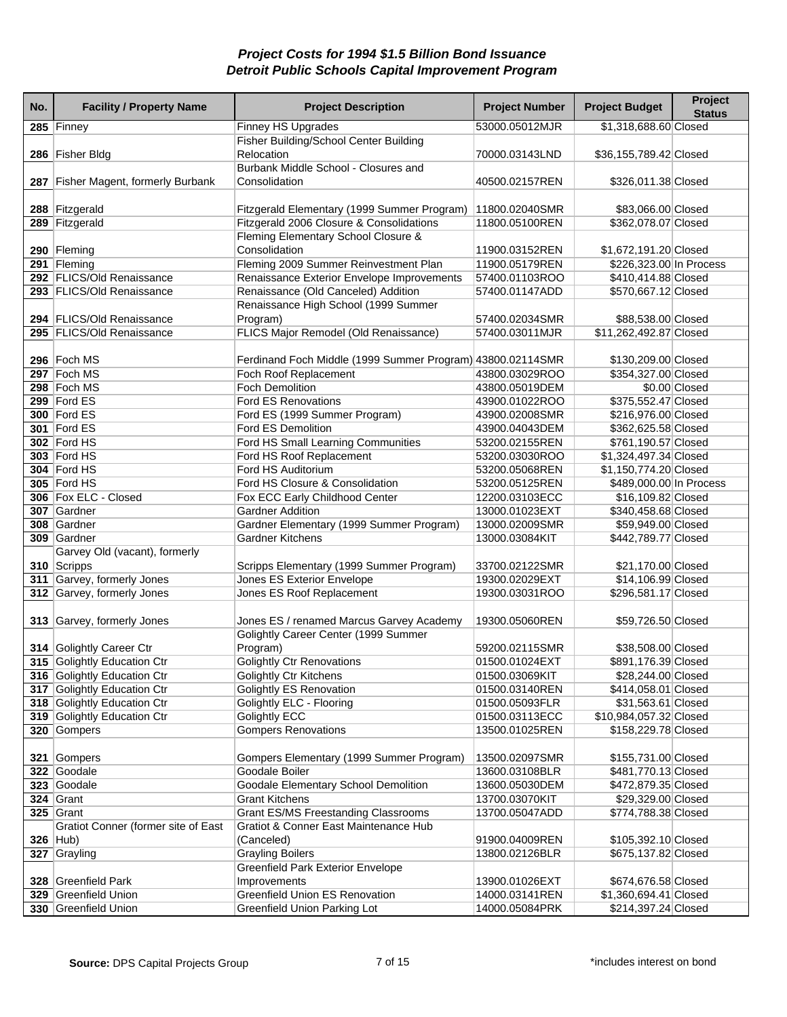| No. | <b>Facility / Property Name</b>              | <b>Project Description</b>                                             | <b>Project Number</b> | <b>Project Budget</b>   | Project<br><b>Status</b> |
|-----|----------------------------------------------|------------------------------------------------------------------------|-----------------------|-------------------------|--------------------------|
|     | 285 Finney                                   | <b>Finney HS Upgrades</b>                                              | 53000.05012MJR        | \$1,318,688.60 Closed   |                          |
|     |                                              | Fisher Building/School Center Building                                 |                       |                         |                          |
|     | 286 Fisher Bldg                              | Relocation                                                             | 70000.03143LND        | \$36,155,789.42 Closed  |                          |
|     |                                              | Burbank Middle School - Closures and                                   |                       |                         |                          |
| 287 | <b>Fisher Magent, formerly Burbank</b>       | Consolidation                                                          | 40500.02157REN        | \$326,011.38 Closed     |                          |
|     |                                              |                                                                        |                       |                         |                          |
|     | 288 Fitzgerald                               | Fitzgerald Elementary (1999 Summer Program)                            | 11800.02040SMR        | \$83,066.00 Closed      |                          |
|     | 289 Fitzgerald                               | Fitzgerald 2006 Closure & Consolidations                               | 11800.05100REN        | \$362,078.07 Closed     |                          |
|     |                                              | Fleming Elementary School Closure &                                    |                       |                         |                          |
|     | 290 Fleming                                  | Consolidation                                                          | 11900.03152REN        | \$1,672,191.20 Closed   |                          |
|     | 291 Fleming                                  | Fleming 2009 Summer Reinvestment Plan                                  | 11900.05179REN        | \$226,323.00 In Process |                          |
|     | 292 FLICS/Old Renaissance                    | Renaissance Exterior Envelope Improvements                             | 57400.01103ROO        | \$410,414.88 Closed     |                          |
|     | 293 FLICS/Old Renaissance                    | Renaissance (Old Canceled) Addition                                    | 57400.01147ADD        | \$570,667.12 Closed     |                          |
|     |                                              | Renaissance High School (1999 Summer                                   |                       |                         |                          |
|     | 294 FLICS/Old Renaissance                    | Program)                                                               | 57400.02034SMR        | \$88,538.00 Closed      |                          |
|     | 295 FLICS/Old Renaissance                    | FLICS Major Remodel (Old Renaissance)                                  | 57400.03011MJR        | \$11,262,492.87 Closed  |                          |
|     |                                              |                                                                        |                       |                         |                          |
|     | 296 Foch MS                                  | Ferdinand Foch Middle (1999 Summer Program) 43800.02114SMR             |                       | \$130,209.00 Closed     |                          |
|     | 297 Foch MS                                  | Foch Roof Replacement                                                  | 43800.03029ROO        | \$354,327.00 Closed     |                          |
|     | 298 Foch MS                                  | <b>Foch Demolition</b>                                                 | 43800.05019DEM        |                         | \$0.00 Closed            |
|     | 299 $ $ Ford ES                              | <b>Ford ES Renovations</b>                                             | 43900.01022ROO        | \$375,552.47 Closed     |                          |
|     | <b>300 Ford ES</b>                           | Ford ES (1999 Summer Program)                                          | 43900.02008SMR        | \$216,976.00 Closed     |                          |
|     | 301 Ford ES                                  | Ford ES Demolition                                                     | 43900.04043DEM        | \$362,625.58 Closed     |                          |
|     | 302 Ford HS                                  | Ford HS Small Learning Communities                                     | 53200.02155REN        | \$761,190.57 Closed     |                          |
|     | 303 Ford HS                                  | Ford HS Roof Replacement                                               | 53200.03030ROO        | \$1,324,497.34 Closed   |                          |
|     | 304 Ford HS                                  | Ford HS Auditorium                                                     | 53200.05068REN        | \$1,150,774.20 Closed   |                          |
|     | 305 Ford HS                                  | Ford HS Closure & Consolidation                                        | 53200.05125REN        | \$489,000.00 In Process |                          |
|     | 306   Fox ELC - Closed                       | Fox ECC Early Childhood Center                                         | 12200.03103ECC        | \$16,109.82 Closed      |                          |
|     | 307 Gardner                                  | <b>Gardner Addition</b>                                                | 13000.01023EXT        | \$340,458.68 Closed     |                          |
|     | 308 Gardner<br>309 Gardner                   | Gardner Elementary (1999 Summer Program)<br><b>Gardner Kitchens</b>    | 13000.02009SMR        | \$59,949.00 Closed      |                          |
|     |                                              |                                                                        | 13000.03084KIT        | \$442,789.77 Closed     |                          |
|     | Garvey Old (vacant), formerly<br>310 Scripps |                                                                        | 33700.02122SMR        | \$21,170.00 Closed      |                          |
|     | 311 Garvey, formerly Jones                   | Scripps Elementary (1999 Summer Program)<br>Jones ES Exterior Envelope | 19300.02029EXT        | \$14,106.99 Closed      |                          |
|     | 312 Garvey, formerly Jones                   | Jones ES Roof Replacement                                              | 19300.03031ROO        | \$296,581.17 Closed     |                          |
|     |                                              |                                                                        |                       |                         |                          |
|     | 313 Garvey, formerly Jones                   | Jones ES / renamed Marcus Garvey Academy                               | 19300.05060REN        | \$59,726.50 Closed      |                          |
|     |                                              | Golightly Career Center (1999 Summer                                   |                       |                         |                          |
|     | 314 Golightly Career Ctr                     | Program)                                                               | 59200.02115SMR        | \$38,508.00 Closed      |                          |
|     | 315 Golightly Education Ctr                  | <b>Golightly Ctr Renovations</b>                                       | 01500.01024EXT        | \$891,176.39 Closed     |                          |
|     | 316 Golightly Education Ctr                  | <b>Golightly Ctr Kitchens</b>                                          | 01500.03069KIT        | \$28,244.00 Closed      |                          |
|     | 317 Golightly Education Ctr                  | <b>Golightly ES Renovation</b>                                         | 01500.03140REN        | \$414,058.01 Closed     |                          |
|     | 318 Golightly Education Ctr                  | Golightly ELC - Flooring                                               | 01500.05093FLR        | \$31,563.61 Closed      |                          |
|     | 319 Golightly Education Ctr                  | <b>Golightly ECC</b>                                                   | 01500.03113ECC        | \$10,984,057.32 Closed  |                          |
|     | 320 Gompers                                  | <b>Gompers Renovations</b>                                             | 13500.01025REN        | \$158,229.78 Closed     |                          |
|     |                                              |                                                                        |                       |                         |                          |
|     | 321 Gompers                                  | Gompers Elementary (1999 Summer Program)                               | 13500.02097SMR        | \$155,731.00 Closed     |                          |
|     | 322 Goodale                                  | Goodale Boiler                                                         | 13600.03108BLR        | \$481,770.13 Closed     |                          |
|     | 323 Goodale                                  | Goodale Elementary School Demolition                                   | 13600.05030DEM        | \$472,879.35 Closed     |                          |
|     | 324 Grant                                    | <b>Grant Kitchens</b>                                                  | 13700.03070KIT        | \$29,329.00 Closed      |                          |
|     | $325$ Grant                                  | <b>Grant ES/MS Freestanding Classrooms</b>                             | 13700.05047ADD        | \$774,788.38 Closed     |                          |
|     | Gratiot Conner (former site of East          | Gratiot & Conner East Maintenance Hub                                  |                       |                         |                          |
|     | $326$ Hub)                                   | (Canceled)                                                             | 91900.04009REN        | \$105,392.10 Closed     |                          |
|     | 327 Grayling                                 | <b>Grayling Boilers</b>                                                | 13800.02126BLR        | \$675,137.82 Closed     |                          |
|     |                                              | <b>Greenfield Park Exterior Envelope</b>                               |                       |                         |                          |
|     | 328 Greenfield Park                          | Improvements                                                           | 13900.01026EXT        | \$674,676.58 Closed     |                          |
|     | 329 Greenfield Union                         | Greenfield Union ES Renovation                                         | 14000.03141REN        | \$1,360,694.41 Closed   |                          |
|     | 330 Greenfield Union                         | <b>Greenfield Union Parking Lot</b>                                    | 14000.05084PRK        | \$214,397.24 Closed     |                          |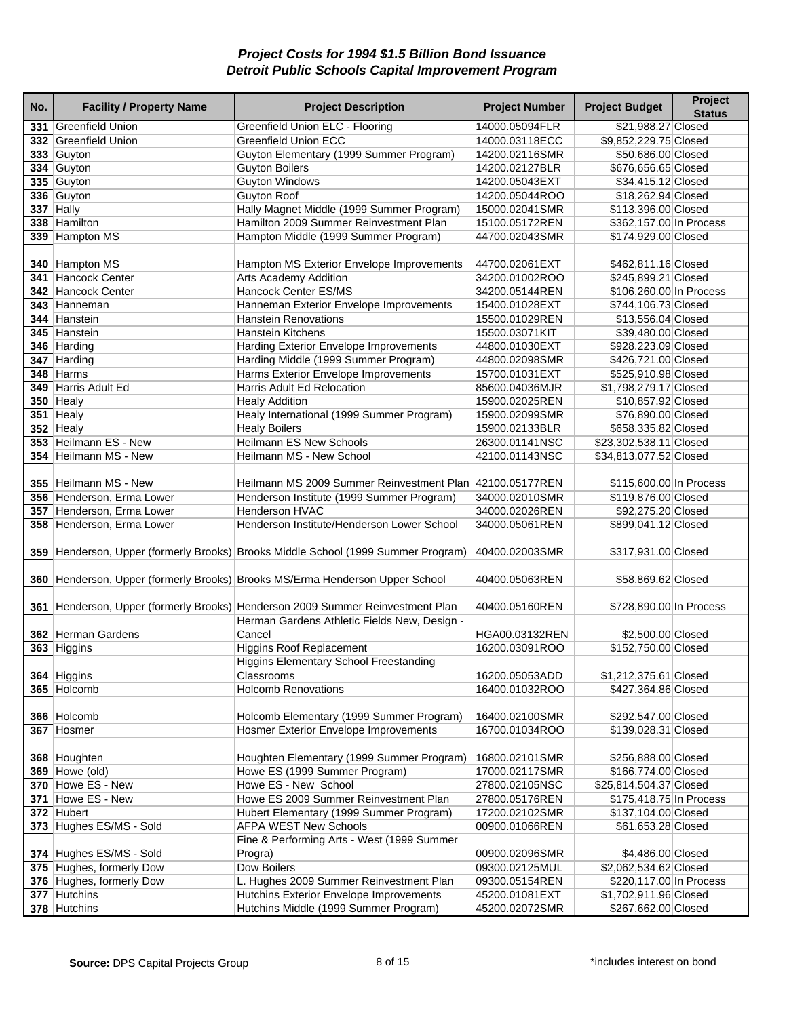| No. | <b>Facility / Property Name</b> | <b>Project Description</b>                                                        | <b>Project Number</b> | <b>Project Budget</b>   | Project<br><b>Status</b> |
|-----|---------------------------------|-----------------------------------------------------------------------------------|-----------------------|-------------------------|--------------------------|
|     | 331 Greenfield Union            | Greenfield Union ELC - Flooring                                                   | 14000.05094FLR        | \$21,988.27 Closed      |                          |
|     | 332 Greenfield Union            | <b>Greenfield Union ECC</b>                                                       | 14000.03118ECC        | \$9,852,229.75 Closed   |                          |
|     | 333 Guyton                      | Guyton Elementary (1999 Summer Program)                                           | 14200.02116SMR        | \$50,686.00 Closed      |                          |
|     | 334 Guyton                      | <b>Guyton Boilers</b>                                                             | 14200.02127BLR        | \$676,656.65 Closed     |                          |
|     | 335 Guyton                      | <b>Guyton Windows</b>                                                             | 14200.05043EXT        | \$34,415.12 Closed      |                          |
|     | 336 Guyton                      | <b>Guyton Roof</b>                                                                | 14200.05044ROO        | \$18,262.94 Closed      |                          |
|     | $337$ Hally                     | Hally Magnet Middle (1999 Summer Program)                                         | 15000.02041SMR        | \$113,396.00 Closed     |                          |
|     | 338 Hamilton                    | Hamilton 2009 Summer Reinvestment Plan                                            | 15100.05172REN        | \$362,157.00 In Process |                          |
|     | 339 Hampton MS                  | Hampton Middle (1999 Summer Program)                                              | 44700.02043SMR        | \$174,929.00 Closed     |                          |
|     |                                 |                                                                                   |                       |                         |                          |
|     | 340 Hampton MS                  | Hampton MS Exterior Envelope Improvements                                         | 44700.02061EXT        | \$462,811.16 Closed     |                          |
|     | 341 Hancock Center              | <b>Arts Academy Addition</b>                                                      | 34200.01002ROO        | \$245,899.21 Closed     |                          |
|     | 342 Hancock Center              | Hancock Center ES/MS                                                              | 34200.05144REN        | \$106,260.00 In Process |                          |
|     | 343 Hanneman                    | Hanneman Exterior Envelope Improvements                                           | 15400.01028EXT        | \$744,106.73 Closed     |                          |
|     | 344 Hanstein                    | <b>Hanstein Renovations</b>                                                       | 15500.01029REN        | \$13,556.04 Closed      |                          |
|     | 345 Hanstein                    | <b>Hanstein Kitchens</b>                                                          | 15500.03071KIT        | \$39,480.00 Closed      |                          |
|     | 346 Harding                     | <b>Harding Exterior Envelope Improvements</b>                                     | 44800.01030EXT        | \$928,223.09 Closed     |                          |
|     | 347 Harding                     | Harding Middle (1999 Summer Program)                                              | 44800.02098SMR        | \$426,721.00 Closed     |                          |
|     | 348 Harms                       |                                                                                   |                       | \$525,910.98 Closed     |                          |
|     | 349 Harris Adult Ed             | Harms Exterior Envelope Improvements                                              | 15700.01031EXT        |                         |                          |
|     |                                 | Harris Adult Ed Relocation                                                        | 85600.04036MJR        | \$1,798,279.17 Closed   |                          |
|     | $350$ Healy                     | <b>Healy Addition</b>                                                             | 15900.02025REN        | \$10,857.92 Closed      |                          |
|     | 351 Healy                       | Healy International (1999 Summer Program)                                         | 15900.02099SMR        | \$76,890.00 Closed      |                          |
|     | $352$ Healy                     | <b>Healy Boilers</b>                                                              | 15900.02133BLR        | \$658,335.82 Closed     |                          |
|     | 353 Heilmann ES - New           | <b>Heilmann ES New Schools</b>                                                    | 26300.01141NSC        | \$23,302,538.11 Closed  |                          |
|     | 354 Heilmann MS - New           | Heilmann MS - New School                                                          | 42100.01143NSC        | \$34,813,077.52 Closed  |                          |
|     |                                 |                                                                                   |                       |                         |                          |
|     | 355 Heilmann MS - New           | Heilmann MS 2009 Summer Reinvestment Plan 42100.05177REN                          |                       | \$115,600.00 In Process |                          |
|     | 356 Henderson, Erma Lower       | Henderson Institute (1999 Summer Program)                                         | 34000.02010SMR        | \$119,876.00 Closed     |                          |
|     | 357 Henderson, Erma Lower       | <b>Henderson HVAC</b>                                                             | 34000.02026REN        | \$92,275.20 Closed      |                          |
|     | 358 Henderson, Erma Lower       | Henderson Institute/Henderson Lower School                                        | 34000.05061REN        | \$899,041.12 Closed     |                          |
|     |                                 |                                                                                   |                       |                         |                          |
|     |                                 | 359 Henderson, Upper (formerly Brooks) Brooks Middle School (1999 Summer Program) | 40400.02003SMR        | \$317,931.00 Closed     |                          |
|     |                                 | 360 Henderson, Upper (formerly Brooks) Brooks MS/Erma Henderson Upper School      | 40400.05063REN        | \$58,869.62 Closed      |                          |
|     |                                 |                                                                                   |                       |                         |                          |
|     |                                 | 361 Henderson, Upper (formerly Brooks) Henderson 2009 Summer Reinvestment Plan    | 40400.05160REN        | \$728,890.00 In Process |                          |
|     |                                 | Herman Gardens Athletic Fields New, Design -                                      |                       |                         |                          |
|     | 362 Herman Gardens              | Cancel                                                                            | HGA00.03132REN        | \$2,500.00 Closed       |                          |
|     | 363 Higgins                     | <b>Higgins Roof Replacement</b>                                                   | 16200.03091ROO        | \$152,750.00 Closed     |                          |
|     |                                 | <b>Higgins Elementary School Freestanding</b>                                     |                       |                         |                          |
|     | 364 Higgins                     | Classrooms                                                                        | 16200.05053ADD        | \$1,212,375.61 Closed   |                          |
|     | 365 Holcomb                     | <b>Holcomb Renovations</b>                                                        | 16400.01032ROO        | \$427,364.86 Closed     |                          |
|     |                                 |                                                                                   |                       |                         |                          |
|     | 366 Holcomb                     | Holcomb Elementary (1999 Summer Program)                                          | 16400.02100SMR        | \$292,547.00 Closed     |                          |
|     | 367 Hosmer                      | <b>Hosmer Exterior Envelope Improvements</b>                                      | 16700.01034ROO        | \$139,028.31 Closed     |                          |
|     |                                 |                                                                                   |                       |                         |                          |
|     | 368 Houghten                    | Houghten Elementary (1999 Summer Program)                                         | 16800.02101SMR        | \$256,888.00 Closed     |                          |
|     | <b>369 Howe (old)</b>           | Howe ES (1999 Summer Program)                                                     | 17000.02117SMR        | \$166,774.00 Closed     |                          |
|     | 370 Howe ES - New               | Howe ES - New School                                                              | 27800.02105NSC        | \$25,814,504.37 Closed  |                          |
|     | 371 Howe ES - New               | Howe ES 2009 Summer Reinvestment Plan                                             | 27800.05176REN        | \$175,418.75 In Process |                          |
|     | 372 Hubert                      | Hubert Elementary (1999 Summer Program)                                           | 17200.02102SMR        | \$137,104.00 Closed     |                          |
|     | 373 Hughes ES/MS - Sold         | <b>AFPA WEST New Schools</b>                                                      | 00900.01066REN        | \$61,653.28 Closed      |                          |
|     |                                 | Fine & Performing Arts - West (1999 Summer                                        |                       |                         |                          |
|     |                                 |                                                                                   |                       |                         |                          |
|     | 374 Hughes ES/MS - Sold         | Progra)                                                                           | 00900.02096SMR        | \$4,486.00 Closed       |                          |
|     | 375 Hughes, formerly Dow        | Dow Boilers                                                                       | 09300.02125MUL        | \$2,062,534.62 Closed   |                          |
|     | 376 Hughes, formerly Dow        | L. Hughes 2009 Summer Reinvestment Plan                                           | 09300.05154REN        | \$220,117.00 In Process |                          |
|     | 377 Hutchins                    | Hutchins Exterior Envelope Improvements                                           | 45200.01081EXT        | \$1,702,911.96 Closed   |                          |
|     | 378 Hutchins                    | Hutchins Middle (1999 Summer Program)                                             | 45200.02072SMR        | \$267,662.00 Closed     |                          |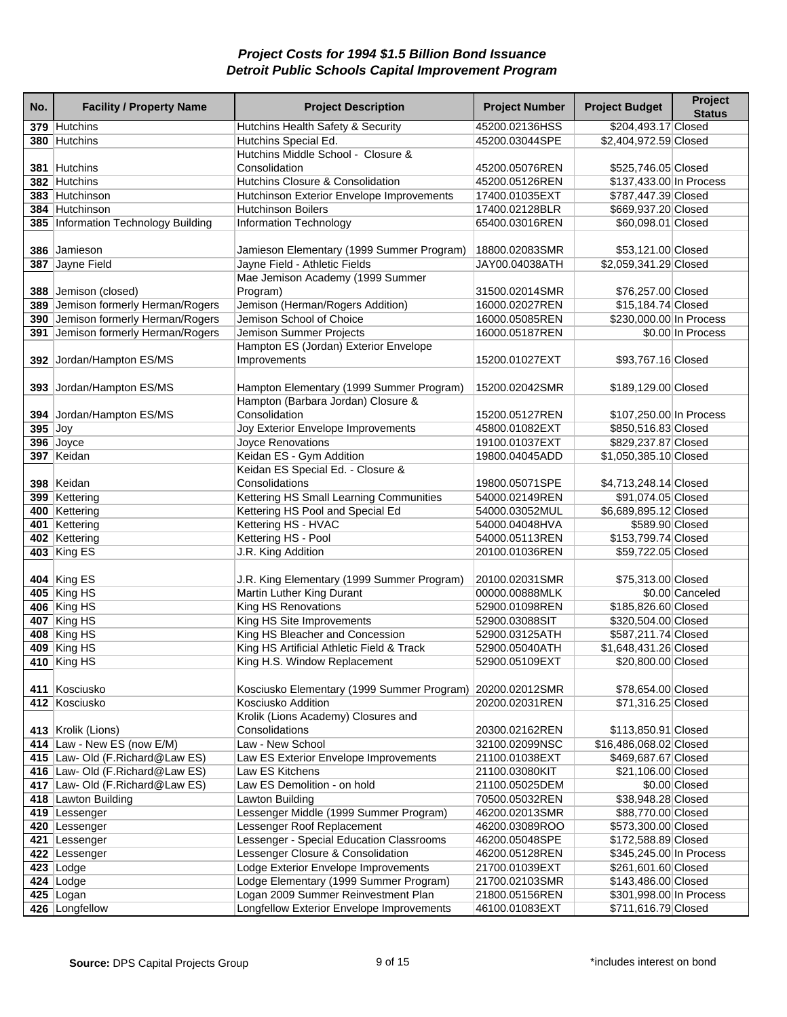| No.       | <b>Facility / Property Name</b>     | <b>Project Description</b>                                | <b>Project Number</b> | <b>Project Budget</b>   | Project<br><b>Status</b> |
|-----------|-------------------------------------|-----------------------------------------------------------|-----------------------|-------------------------|--------------------------|
|           | 379 Hutchins                        | Hutchins Health Safety & Security                         | 45200.02136HSS        | \$204,493.17 Closed     |                          |
|           | 380 Hutchins                        | Hutchins Special Ed.                                      | 45200.03044SPE        | \$2,404,972.59 Closed   |                          |
|           |                                     | Hutchins Middle School - Closure &                        |                       |                         |                          |
|           | 381 Hutchins                        | Consolidation                                             | 45200.05076REN        | \$525,746.05 Closed     |                          |
|           | 382 Hutchins                        | Hutchins Closure & Consolidation                          | 45200.05126REN        | \$137,433.00 In Process |                          |
|           | 383 Hutchinson                      | Hutchinson Exterior Envelope Improvements                 | 17400.01035EXT        | \$787,447.39 Closed     |                          |
|           | 384 Hutchinson                      | <b>Hutchinson Boilers</b>                                 | 17400.02128BLR        | \$669,937.20 Closed     |                          |
|           | 385 Information Technology Building | <b>Information Technology</b>                             | 65400.03016REN        | \$60,098.01 Closed      |                          |
|           |                                     |                                                           |                       |                         |                          |
|           | 386 Jamieson                        | Jamieson Elementary (1999 Summer Program)                 | 18800.02083SMR        | \$53,121.00 Closed      |                          |
|           | 387 Jayne Field                     | Jayne Field - Athletic Fields                             | JAY00.04038ATH        | \$2,059,341.29 Closed   |                          |
|           |                                     | Mae Jemison Academy (1999 Summer                          |                       |                         |                          |
|           | 388 Jemison (closed)                | Program)                                                  | 31500.02014SMR        | \$76,257.00 Closed      |                          |
|           | 389 Jemison formerly Herman/Rogers  | Jemison (Herman/Rogers Addition)                          | 16000.02027REN        | \$15,184.74 Closed      |                          |
|           | 390 Jemison formerly Herman/Rogers  | Jemison School of Choice                                  | 16000.05085REN        | \$230,000.00 In Process |                          |
|           | 391 Jemison formerly Herman/Rogers  | Jemison Summer Projects                                   | 16000.05187REN        |                         | \$0.00 In Process        |
|           |                                     | Hampton ES (Jordan) Exterior Envelope                     |                       |                         |                          |
|           | 392 Jordan/Hampton ES/MS            | Improvements                                              | 15200.01027EXT        | \$93,767.16 Closed      |                          |
|           |                                     |                                                           |                       |                         |                          |
|           | 393 Jordan/Hampton ES/MS            | Hampton Elementary (1999 Summer Program)                  | 15200.02042SMR        | \$189,129.00 Closed     |                          |
|           |                                     | Hampton (Barbara Jordan) Closure &                        |                       |                         |                          |
|           | 394 Jordan/Hampton ES/MS            | Consolidation                                             | 15200.05127REN        | \$107,250.00 In Process |                          |
| $395$ Joy |                                     | Joy Exterior Envelope Improvements                        | 45800.01082EXT        | \$850,516.83 Closed     |                          |
|           | 396 Joyce                           | Joyce Renovations                                         | 19100.01037EXT        | \$829,237.87 Closed     |                          |
|           | 397 Keidan                          | Keidan ES - Gym Addition                                  | 19800.04045ADD        | \$1,050,385.10 Closed   |                          |
|           |                                     | Keidan ES Special Ed. - Closure &                         |                       |                         |                          |
|           | 398 Keidan                          | Consolidations                                            | 19800.05071SPE        | \$4,713,248.14 Closed   |                          |
|           | 399 Kettering                       | Kettering HS Small Learning Communities                   | 54000.02149REN        | \$91,074.05 Closed      |                          |
|           | 400 Kettering                       | Kettering HS Pool and Special Ed                          | 54000.03052MUL        | \$6,689,895.12 Closed   |                          |
|           | 401 Kettering                       | Kettering HS - HVAC                                       | 54000.04048HVA        | \$589.90 Closed         |                          |
|           | 402 Kettering                       | Kettering HS - Pool                                       | 54000.05113REN        | \$153,799.74 Closed     |                          |
|           | 403 King ES                         | J.R. King Addition                                        | 20100.01036REN        | \$59,722.05 Closed      |                          |
|           |                                     |                                                           |                       |                         |                          |
|           | 404 King ES                         | J.R. King Elementary (1999 Summer Program)                | 20100.02031SMR        | \$75,313.00 Closed      |                          |
|           | 405 King HS                         | Martin Luther King Durant                                 | 00000.00888MLK        |                         | \$0.00 Canceled          |
|           | 406 King HS                         | King HS Renovations                                       | 52900.01098REN        | \$185,826.60 Closed     |                          |
|           | 407 King HS                         | King HS Site Improvements                                 | 52900.03088SIT        | \$320,504.00 Closed     |                          |
|           | 408 King HS                         | King HS Bleacher and Concession                           | 52900.03125ATH        | \$587,211.74 Closed     |                          |
|           | 409 King HS                         | King HS Artificial Athletic Field & Track                 | 52900.05040ATH        | \$1,648,431.26 Closed   |                          |
|           | 410 $ King HS$                      | King H.S. Window Replacement                              | 52900.05109EXT        | \$20,800.00 Closed      |                          |
|           |                                     |                                                           |                       |                         |                          |
|           | 411 Kosciusko                       | Kosciusko Elementary (1999 Summer Program) 20200.02012SMR |                       | \$78,654.00 Closed      |                          |
|           | 412 Kosciusko                       | Kosciusko Addition                                        | 20200.02031REN        | \$71,316.25 Closed      |                          |
|           |                                     | Krolik (Lions Academy) Closures and                       |                       |                         |                          |
|           | 413 Krolik (Lions)                  | Consolidations                                            | 20300.02162REN        | \$113,850.91 Closed     |                          |
|           | 414 $ Law - New ES$ (now $E/M$ )    | Law - New School                                          | 32100.02099NSC        | \$16,486,068.02 Closed  |                          |
|           | 415 Law- Old (F.Richard@Law ES)     | Law ES Exterior Envelope Improvements                     | 21100.01038EXT        | \$469,687.67 Closed     |                          |
|           | 416 Law- Old (F.Richard@Law ES)     | Law ES Kitchens                                           | 21100.03080KIT        | \$21,106.00 Closed      |                          |
|           | 417 Law- Old (F.Richard@Law ES)     | Law ES Demolition - on hold                               | 21100.05025DEM        |                         | \$0.00 Closed            |
|           | 418 Lawton Building                 | <b>Lawton Building</b>                                    | 70500.05032REN        | \$38,948.28 Closed      |                          |
|           | 419 Lessenger                       | Lessenger Middle (1999 Summer Program)                    | 46200.02013SMR        | \$88,770.00 Closed      |                          |
|           | 420 Lessenger                       | Lessenger Roof Replacement                                | 46200.03089ROO        | \$573,300.00 Closed     |                          |
|           | 421 Lessenger                       | Lessenger - Special Education Classrooms                  | 46200.05048SPE        | \$172,588.89 Closed     |                          |
|           | 422 Lessenger                       | Lessenger Closure & Consolidation                         | 46200.05128REN        | \$345,245.00 In Process |                          |
|           | $423$ Lodge                         | Lodge Exterior Envelope Improvements                      | 21700.01039EXT        | \$261,601.60 Closed     |                          |
|           | $424$ Lodge                         | Lodge Elementary (1999 Summer Program)                    | 21700.02103SMR        | \$143,486.00 Closed     |                          |
|           | 425 $Logan$                         | Logan 2009 Summer Reinvestment Plan                       | 21800.05156REN        | \$301,998.00 In Process |                          |
|           | 426 Longfellow                      | Longfellow Exterior Envelope Improvements                 | 46100.01083EXT        | \$711,616.79 Closed     |                          |
|           |                                     |                                                           |                       |                         |                          |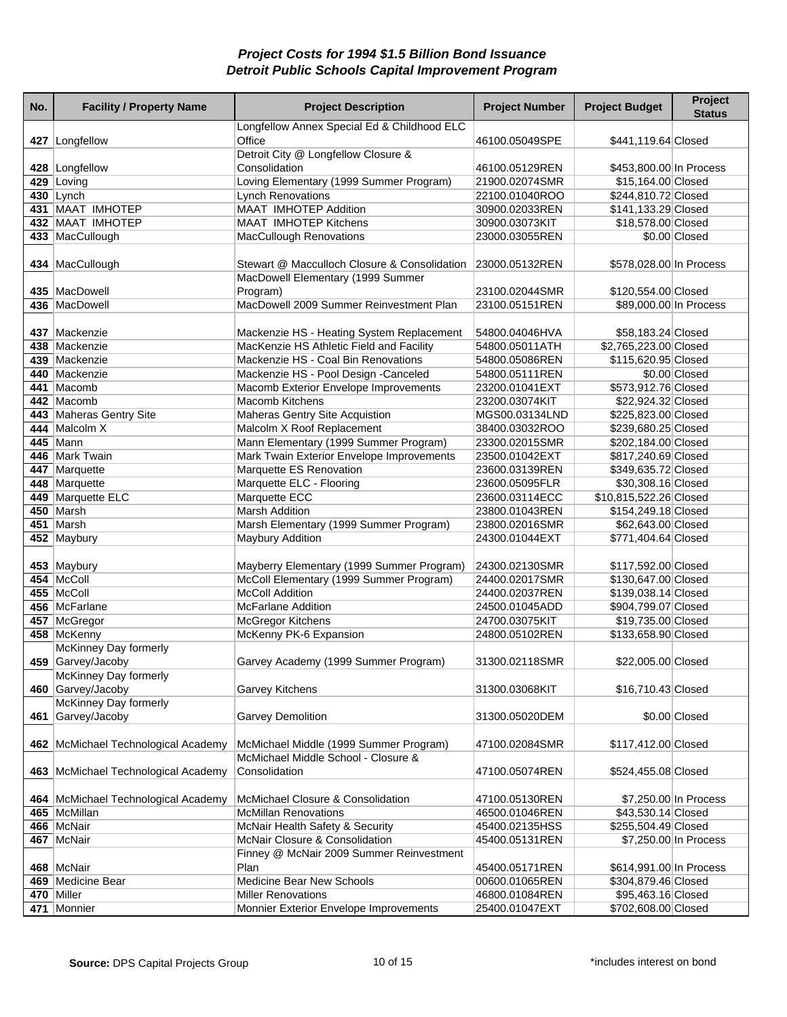| No. | <b>Facility / Property Name</b>     | <b>Project Description</b>                                                    | <b>Project Number</b>            | <b>Project Budget</b>                      | Project<br><b>Status</b> |
|-----|-------------------------------------|-------------------------------------------------------------------------------|----------------------------------|--------------------------------------------|--------------------------|
|     | 427 Longfellow                      | Longfellow Annex Special Ed & Childhood ELC<br>Office                         | 46100.05049SPE                   | \$441,119.64 Closed                        |                          |
|     |                                     | Detroit City @ Longfellow Closure &                                           |                                  |                                            |                          |
|     | 428 Longfellow                      | Consolidation                                                                 | 46100.05129REN                   | \$453,800.00 In Process                    |                          |
|     | 429 Loving                          | Loving Elementary (1999 Summer Program)                                       | 21900.02074SMR                   | \$15,164.00 Closed                         |                          |
|     | 430 Lynch                           | <b>Lynch Renovations</b>                                                      | 22100.01040ROO                   | \$244,810.72 Closed                        |                          |
|     | 431 MAAT IMHOTEP                    | <b>MAAT IMHOTEP Addition</b>                                                  | 30900.02033REN                   | \$141,133.29 Closed                        |                          |
|     | 432 MAAT IMHOTEP                    | <b>MAAT IMHOTEP Kitchens</b>                                                  | 30900.03073KIT                   | \$18,578.00 Closed                         |                          |
|     | 433 MacCullough                     | <b>MacCullough Renovations</b>                                                | 23000.03055REN                   |                                            | \$0.00 Closed            |
|     | 434 MacCullough                     | Stewart @ Macculloch Closure & Consolidation                                  | 23000.05132REN                   | \$578,028.00 In Process                    |                          |
|     |                                     | MacDowell Elementary (1999 Summer                                             |                                  |                                            |                          |
|     | 435   MacDowell                     | Program)                                                                      | 23100.02044SMR                   | \$120,554.00 Closed                        |                          |
|     | 436 MacDowell                       | MacDowell 2009 Summer Reinvestment Plan                                       | 23100.05151REN                   | \$89,000.00 In Process                     |                          |
|     | 437 Mackenzie                       | Mackenzie HS - Heating System Replacement                                     | 54800.04046HVA                   | \$58,183.24 Closed                         |                          |
|     | 438 Mackenzie                       | MacKenzie HS Athletic Field and Facility                                      | 54800.05011ATH                   | \$2,765,223.00 Closed                      |                          |
|     | 439 Mackenzie                       | Mackenzie HS - Coal Bin Renovations                                           | 54800.05086REN                   | \$115,620.95 Closed                        |                          |
|     | 440 Mackenzie                       | Mackenzie HS - Pool Design -Canceled                                          | 54800.05111REN                   |                                            | \$0.00 Closed            |
|     | 441 Macomb                          | Macomb Exterior Envelope Improvements                                         | 23200.01041EXT                   | \$573,912.76 Closed                        |                          |
|     | 442 Macomb                          | <b>Macomb Kitchens</b>                                                        | 23200.03074KIT                   | \$22,924.32 Closed                         |                          |
|     | 443 Maheras Gentry Site             | Maheras Gentry Site Acquistion                                                | MGS00.03134LND                   | \$225,823.00 Closed                        |                          |
|     | 444 Malcolm X                       | Malcolm X Roof Replacement                                                    | 38400.03032ROO                   | \$239,680.25 Closed                        |                          |
|     | 445 Mann                            | Mann Elementary (1999 Summer Program)                                         | 23300.02015SMR                   | \$202,184.00 Closed                        |                          |
|     | 446 Mark Twain                      | Mark Twain Exterior Envelope Improvements                                     | 23500.01042EXT                   | \$817,240.69 Closed                        |                          |
|     | 447 Marquette                       | Marquette ES Renovation                                                       | 23600.03139REN                   | \$349,635.72 Closed                        |                          |
|     | 448 Marquette                       | Marquette ELC - Flooring                                                      | 23600.05095FLR                   | \$30,308.16 Closed                         |                          |
|     | 449 Marquette ELC                   | Marquette ECC                                                                 | 23600.03114ECC                   | \$10,815,522.26 Closed                     |                          |
|     | 450 Marsh                           | <b>Marsh Addition</b>                                                         | 23800.01043REN                   | \$154,249.18 Closed                        |                          |
|     | 451 Marsh                           | Marsh Elementary (1999 Summer Program)                                        | 23800.02016SMR                   | \$62,643.00 Closed                         |                          |
|     | 452 Maybury                         | Maybury Addition                                                              | 24300.01044EXT                   | \$771,404.64 Closed                        |                          |
|     |                                     |                                                                               |                                  |                                            |                          |
|     | 453 Maybury                         | Mayberry Elementary (1999 Summer Program)                                     | 24300.02130SMR                   | \$117,592.00 Closed                        |                          |
|     | 454   McColl<br>455   McColl        | McColl Elementary (1999 Summer Program)<br><b>McColl Addition</b>             | 24400.02017SMR<br>24400.02037REN | \$130,647.00 Closed                        |                          |
|     |                                     | <b>McFarlane Addition</b>                                                     | 24500.01045ADD                   | \$139,038.14 Closed<br>\$904,799.07 Closed |                          |
|     | 456 McFarlane<br>457 McGregor       | <b>McGregor Kitchens</b>                                                      | 24700.03075KIT                   | \$19,735.00 Closed                         |                          |
|     | 458 McKenny                         | McKenny PK-6 Expansion                                                        | 24800.05102REN                   | \$133,658.90 Closed                        |                          |
|     | McKinney Day formerly               |                                                                               |                                  |                                            |                          |
|     | 459 Garvey/Jacoby                   | Garvey Academy (1999 Summer Program)                                          | 31300.02118SMR                   | \$22,005.00 Closed                         |                          |
|     | McKinney Day formerly               |                                                                               |                                  |                                            |                          |
|     | 460 Garvey/Jacoby                   | <b>Garvey Kitchens</b>                                                        | 31300.03068KIT                   | \$16,710.43 Closed                         |                          |
|     | McKinney Day formerly               |                                                                               |                                  |                                            |                          |
|     | 461 Garvey/Jacoby                   | Garvey Demolition                                                             | 31300.05020DEM                   |                                            | \$0.00 Closed            |
|     |                                     |                                                                               |                                  |                                            |                          |
|     | 462 McMichael Technological Academy | McMichael Middle (1999 Summer Program)<br>McMichael Middle School - Closure & | 47100.02084SMR                   | \$117,412.00 Closed                        |                          |
|     | 463 McMichael Technological Academy | Consolidation                                                                 | 47100.05074REN                   | \$524,455.08 Closed                        |                          |
|     |                                     |                                                                               |                                  |                                            |                          |
|     | 464 McMichael Technological Academy | McMichael Closure & Consolidation                                             | 47100.05130REN                   |                                            | \$7,250.00 In Process    |
|     | 465 McMillan                        | <b>McMillan Renovations</b>                                                   | 46500.01046REN                   | \$43,530.14 Closed                         |                          |
|     | 466   McNair                        | McNair Health Safety & Security                                               | 45400.02135HSS                   | \$255,504.49 Closed                        |                          |
|     | 467 McNair                          | McNair Closure & Consolidation                                                | 45400.05131REN                   |                                            | \$7,250.00 In Process    |
|     |                                     | Finney @ McNair 2009 Summer Reinvestment                                      |                                  |                                            |                          |
|     | 468 McNair                          | Plan                                                                          | 45400.05171REN                   | \$614,991.00 In Process                    |                          |
|     | 469 Medicine Bear                   | Medicine Bear New Schools                                                     | 00600.01065REN                   | \$304,879.46 Closed                        |                          |
|     | 470 Miller                          | <b>Miller Renovations</b>                                                     | 46800.01084REN                   | \$95,463.16 Closed                         |                          |
|     | 471 Monnier                         | Monnier Exterior Envelope Improvements                                        | 25400.01047EXT                   | \$702,608.00 Closed                        |                          |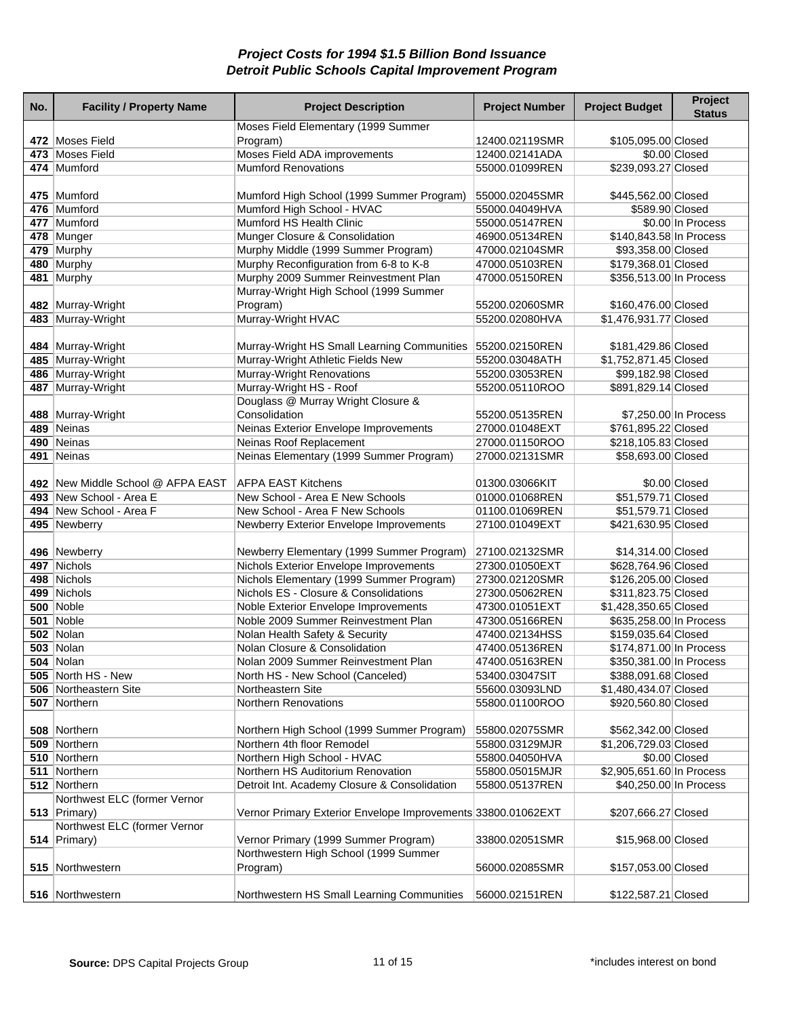| No. | <b>Facility / Property Name</b>   | <b>Project Description</b>                                     | <b>Project Number</b>            | <b>Project Budget</b>     | Project<br><b>Status</b> |
|-----|-----------------------------------|----------------------------------------------------------------|----------------------------------|---------------------------|--------------------------|
|     |                                   | Moses Field Elementary (1999 Summer                            |                                  |                           |                          |
|     | 472 Moses Field                   | Program)                                                       | 12400.02119SMR                   | \$105,095.00 Closed       |                          |
|     | 473 Moses Field                   | Moses Field ADA improvements                                   | 12400.02141ADA                   |                           | \$0.00 Closed            |
|     | 474 Mumford                       | <b>Mumford Renovations</b>                                     | 55000.01099REN                   | \$239,093.27 Closed       |                          |
|     |                                   |                                                                |                                  |                           |                          |
|     | 475 Mumford                       | Mumford High School (1999 Summer Program)                      | 55000.02045SMR                   | \$445,562.00 Closed       |                          |
|     | 476 Mumford                       | Mumford High School - HVAC                                     | 55000.04049HVA                   | \$589.90 Closed           |                          |
|     | 477 Mumford                       | Mumford HS Health Clinic                                       | 55000.05147REN                   |                           | \$0.00 In Process        |
|     | 478 Munger                        | Munger Closure & Consolidation                                 | 46900.05134REN                   | \$140,843.58 In Process   |                          |
|     | 479 Murphy                        | Murphy Middle (1999 Summer Program)                            | 47000.02104SMR                   | \$93,358.00 Closed        |                          |
|     | 480 Murphy                        | Murphy Reconfiguration from 6-8 to K-8                         | 47000.05103REN                   | \$179,368.01 Closed       |                          |
|     | 481 Murphy                        | Murphy 2009 Summer Reinvestment Plan                           | 47000.05150REN                   | \$356,513.00 In Process   |                          |
|     |                                   | Murray-Wright High School (1999 Summer                         |                                  |                           |                          |
|     | 482 Murray-Wright                 | Program)                                                       | 55200.02060SMR                   | \$160,476.00 Closed       |                          |
|     | 483 Murray-Wright                 | Murray-Wright HVAC                                             | 55200.02080HVA                   | \$1,476,931.77 Closed     |                          |
|     |                                   |                                                                |                                  |                           |                          |
|     | 484 Murray-Wright                 | Murray-Wright HS Small Learning Communities                    | 55200.02150REN                   | \$181,429.86 Closed       |                          |
|     | 485 Murray-Wright                 | Murray-Wright Athletic Fields New<br>Murray-Wright Renovations | 55200.03048ATH                   | \$1,752,871.45 Closed     |                          |
|     | 486 Murray-Wright                 |                                                                | 55200.03053REN                   | \$99,182.98 Closed        |                          |
|     | 487 Murray-Wright                 | Murray-Wright HS - Roof                                        | 55200.05110ROO                   | \$891,829.14 Closed       |                          |
|     |                                   | Douglass @ Murray Wright Closure &                             |                                  |                           |                          |
|     | 488 Murray-Wright<br>489 Neinas   | Consolidation<br>Neinas Exterior Envelope Improvements         | 55200.05135REN                   |                           | \$7,250.00 In Process    |
|     |                                   |                                                                | 27000.01048EXT<br>27000.01150ROO | \$761,895.22 Closed       |                          |
|     | 490 Neinas<br>491 Neinas          | Neinas Roof Replacement                                        |                                  | \$218,105.83 Closed       |                          |
|     |                                   | Neinas Elementary (1999 Summer Program)                        | 27000.02131SMR                   | \$58,693.00 Closed        |                          |
|     | 492 New Middle School @ AFPA EAST | <b>AFPA EAST Kitchens</b>                                      | 01300.03066KIT                   |                           | \$0.00 Closed            |
|     | 493 New School - Area E           | New School - Area E New Schools                                | 01000.01068REN                   | \$51,579.71 Closed        |                          |
|     | 494 New School - Area F           | New School - Area F New Schools                                | 01100.01069REN                   | \$51,579.71 Closed        |                          |
|     | 495 Newberry                      | Newberry Exterior Envelope Improvements                        | 27100.01049EXT                   | \$421,630.95 Closed       |                          |
|     |                                   |                                                                |                                  |                           |                          |
|     | 496 Newberry                      | Newberry Elementary (1999 Summer Program)                      | 27100.02132SMR                   | \$14,314.00 Closed        |                          |
|     | 497 Nichols                       | Nichols Exterior Envelope Improvements                         | 27300.01050EXT                   | \$628,764.96 Closed       |                          |
|     | 498 Nichols                       | Nichols Elementary (1999 Summer Program)                       | 27300.02120SMR                   | \$126,205.00 Closed       |                          |
|     | 499 Nichols                       | Nichols ES - Closure & Consolidations                          | 27300.05062REN                   | \$311,823.75 Closed       |                          |
|     | 500 Noble                         | Noble Exterior Envelope Improvements                           | 47300.01051EXT                   | \$1,428,350.65 Closed     |                          |
|     | 501 Noble                         | Noble 2009 Summer Reinvestment Plan                            | 47300.05166REN                   | \$635,258.00 In Process   |                          |
|     | $502$ Nolan                       | Nolan Health Safety & Security                                 | 47400.02134HSS                   | \$159,035.64 Closed       |                          |
|     | <b>503 Nolan</b>                  | Nolan Closure & Consolidation                                  | 47400.05136REN                   | \$174,871.00 In Process   |                          |
|     | <b>504 Nolan</b>                  | Nolan 2009 Summer Reinvestment Plan                            | 47400.05163REN                   | \$350,381.00 In Process   |                          |
|     | 505 North HS - New                | North HS - New School (Canceled)                               | 53400.03047SIT                   | \$388,091.68 Closed       |                          |
|     | 506 Northeastern Site             | Northeastern Site                                              | 55600.03093LND                   | \$1,480,434.07 Closed     |                          |
|     | 507 Northern                      | <b>Northern Renovations</b>                                    | 55800.01100ROO                   | \$920,560.80 Closed       |                          |
|     |                                   |                                                                |                                  |                           |                          |
|     | 508 Northern                      | Northern High School (1999 Summer Program)                     | 55800.02075SMR                   | \$562,342.00 Closed       |                          |
|     | 509 Northern                      | Northern 4th floor Remodel                                     | 55800.03129MJR                   | \$1,206,729.03 Closed     |                          |
|     | 510 Northern                      | Northern High School - HVAC                                    | 55800.04050HVA                   |                           | \$0.00 Closed            |
|     | 511 Northern                      | Northern HS Auditorium Renovation                              | 55800.05015MJR                   | \$2,905,651.60 In Process |                          |
|     | 512 Northern                      | Detroit Int. Academy Closure & Consolidation                   | 55800.05137REN                   | \$40,250.00 In Process    |                          |
|     | Northwest ELC (former Vernor      |                                                                |                                  |                           |                          |
|     | 513 $ Primary\rangle$             | Vernor Primary Exterior Envelope Improvements 33800.01062EXT   |                                  | \$207,666.27 Closed       |                          |
|     | Northwest ELC (former Vernor      |                                                                |                                  |                           |                          |
|     | 514 Primary)                      | Vernor Primary (1999 Summer Program)                           | 33800.02051SMR                   | \$15,968.00 Closed        |                          |
|     |                                   | Northwestern High School (1999 Summer                          |                                  |                           |                          |
|     | 515 Northwestern                  | Program)                                                       | 56000.02085SMR                   | \$157,053.00 Closed       |                          |
|     |                                   |                                                                |                                  |                           |                          |
|     | 516 Northwestern                  | Northwestern HS Small Learning Communities                     | 56000.02151REN                   | \$122,587.21 Closed       |                          |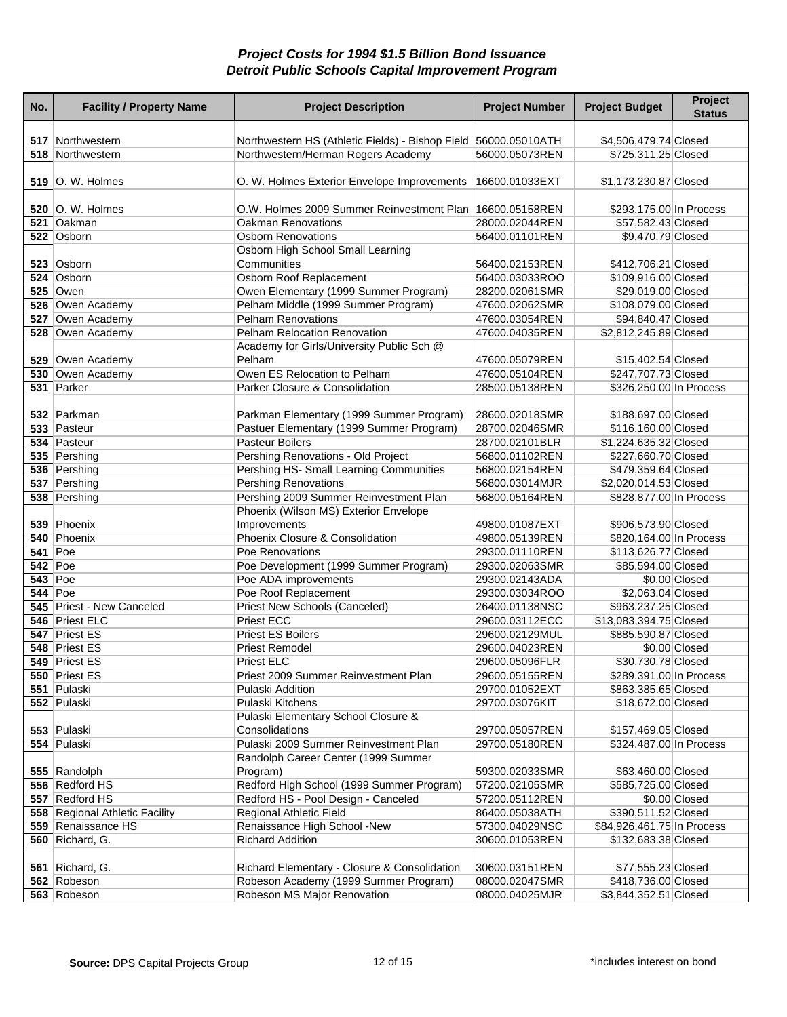| No.                              | <b>Facility / Property Name</b>      | <b>Project Description</b>                                                                            | <b>Project Number</b>            | <b>Project Budget</b>                        | Project<br><b>Status</b> |
|----------------------------------|--------------------------------------|-------------------------------------------------------------------------------------------------------|----------------------------------|----------------------------------------------|--------------------------|
|                                  |                                      |                                                                                                       |                                  |                                              |                          |
|                                  | 517 Northwestern<br>518 Northwestern | Northwestern HS (Athletic Fields) - Bishop Field 56000.05010ATH<br>Northwestern/Herman Rogers Academy | 56000.05073REN                   | \$4,506,479.74 Closed<br>\$725,311.25 Closed |                          |
|                                  |                                      |                                                                                                       |                                  |                                              |                          |
|                                  | <b>519</b> O. W. Holmes              | O. W. Holmes Exterior Envelope Improvements                                                           | 16600.01033EXT                   | \$1,173,230.87 Closed                        |                          |
|                                  | <b>520</b> O. W. Holmes              | O.W. Holmes 2009 Summer Reinvestment Plan 16600.05158REN                                              |                                  | \$293,175.00 In Process                      |                          |
|                                  | 521 Oakman                           | <b>Oakman Renovations</b>                                                                             | 28000.02044REN                   | \$57,582.43 Closed                           |                          |
|                                  | 522 Osborn                           | <b>Osborn Renovations</b>                                                                             | 56400.01101REN                   | \$9,470.79 Closed                            |                          |
|                                  |                                      | Osborn High School Small Learning                                                                     |                                  |                                              |                          |
|                                  | 523 Osborn                           | Communities                                                                                           | 56400.02153REN                   | \$412,706.21 Closed                          |                          |
|                                  | 524 Osborn                           | Osborn Roof Replacement                                                                               | 56400.03033ROO                   | \$109,916.00 Closed                          |                          |
|                                  | $525$ Owen                           | Owen Elementary (1999 Summer Program)                                                                 | 28200.02061SMR                   | \$29,019.00 Closed                           |                          |
|                                  | 526 Owen Academy                     | Pelham Middle (1999 Summer Program)                                                                   | 47600.02062SMR                   | \$108,079.00 Closed                          |                          |
|                                  | 527 Owen Academy                     | <b>Pelham Renovations</b>                                                                             | 47600.03054REN                   | \$94,840.47 Closed                           |                          |
|                                  | 528 Owen Academy                     | Pelham Relocation Renovation                                                                          | 47600.04035REN                   | \$2,812,245.89 Closed                        |                          |
|                                  |                                      | Academy for Girls/University Public Sch @                                                             |                                  |                                              |                          |
|                                  | 529 Owen Academy                     | Pelham                                                                                                | 47600.05079REN                   | \$15,402.54 Closed                           |                          |
|                                  | 530 Owen Academy                     | Owen ES Relocation to Pelham                                                                          | 47600.05104REN                   | \$247,707.73 Closed                          |                          |
|                                  | 531 Parker                           | Parker Closure & Consolidation                                                                        | 28500.05138REN                   | \$326,250.00 In Process                      |                          |
|                                  |                                      |                                                                                                       |                                  |                                              |                          |
|                                  | 532 Parkman                          | Parkman Elementary (1999 Summer Program)                                                              | 28600.02018SMR                   | \$188,697.00 Closed                          |                          |
|                                  | 533 Pasteur                          | Pastuer Elementary (1999 Summer Program)                                                              | 28700.02046SMR                   | \$116,160.00 Closed                          |                          |
|                                  | 534 Pasteur                          | <b>Pasteur Boilers</b>                                                                                | 28700.02101BLR                   | \$1,224,635.32 Closed                        |                          |
|                                  | 535 Pershing                         | Pershing Renovations - Old Project                                                                    | 56800.01102REN                   | \$227,660.70 Closed                          |                          |
|                                  | 536 Pershing                         | Pershing HS- Small Learning Communities                                                               | 56800.02154REN                   | \$479,359.64 Closed                          |                          |
|                                  | 537 Pershing                         | <b>Pershing Renovations</b>                                                                           | 56800.03014MJR                   | \$2,020,014.53 Closed                        |                          |
|                                  | 538 Pershing                         | Pershing 2009 Summer Reinvestment Plan                                                                | 56800.05164REN                   | \$828,877.00 In Process                      |                          |
|                                  |                                      | Phoenix (Wilson MS) Exterior Envelope                                                                 |                                  |                                              |                          |
|                                  | 539 Phoenix                          | Improvements<br>Phoenix Closure & Consolidation                                                       | 49800.01087EXT                   | \$906,573.90 Closed                          |                          |
|                                  | 540 Phoenix                          |                                                                                                       | 49800.05139REN                   | \$820,164.00 In Process                      |                          |
| <b>541 Poe</b><br><b>542 Poe</b> |                                      | Poe Renovations<br>Poe Development (1999 Summer Program)                                              | 29300.01110REN<br>29300.02063SMR | \$113,626.77 Closed<br>\$85,594.00 Closed    |                          |
| <b>543 Poe</b>                   |                                      | Poe ADA improvements                                                                                  | 29300.02143ADA                   |                                              | \$0.00 Closed            |
| <b>544 Poe</b>                   |                                      | Poe Roof Replacement                                                                                  | 29300.03034ROO                   | \$2,063.04 Closed                            |                          |
|                                  | 545 Priest - New Canceled            | Priest New Schools (Canceled)                                                                         | 26400.01138NSC                   | \$963,237.25 Closed                          |                          |
|                                  | 546 Priest ELC                       | <b>Priest ECC</b>                                                                                     | 29600.03112ECC                   | \$13,083,394.75 Closed                       |                          |
|                                  | 547 Priest ES                        | <b>Priest ES Boilers</b>                                                                              | 29600.02129MUL                   | \$885,590.87 Closed                          |                          |
|                                  | 548 Priest ES                        | <b>Priest Remodel</b>                                                                                 | 29600.04023REN                   |                                              | \$0.00 Closed            |
|                                  | 549 Priest ES                        | Priest ELC                                                                                            | 29600.05096FLR                   | \$30,730.78 Closed                           |                          |
|                                  | 550 Priest ES                        | Priest 2009 Summer Reinvestment Plan                                                                  | 29600.05155REN                   | \$289,391.00 In Process                      |                          |
|                                  | 551 Pulaski                          | Pulaski Addition                                                                                      | 29700.01052EXT                   | \$863,385.65 Closed                          |                          |
|                                  | 552 Pulaski                          | Pulaski Kitchens                                                                                      | 29700.03076KIT                   | \$18,672.00 Closed                           |                          |
|                                  |                                      | Pulaski Elementary School Closure &                                                                   |                                  |                                              |                          |
|                                  | 553 Pulaski                          | Consolidations                                                                                        | 29700.05057REN                   | \$157,469.05 Closed                          |                          |
|                                  | 554 Pulaski                          | Pulaski 2009 Summer Reinvestment Plan                                                                 | 29700.05180REN                   | \$324,487.00 In Process                      |                          |
|                                  |                                      | Randolph Career Center (1999 Summer                                                                   |                                  |                                              |                          |
|                                  | 555 Randolph                         | Program)                                                                                              | 59300.02033SMR                   | \$63,460.00 Closed                           |                          |
|                                  | 556 Redford HS                       | Redford High School (1999 Summer Program)                                                             | 57200.02105SMR                   | \$585,725.00 Closed                          |                          |
|                                  | 557 Redford HS                       | Redford HS - Pool Design - Canceled                                                                   | 57200.05112REN                   |                                              | \$0.00 Closed            |
|                                  | 558 Regional Athletic Facility       | Regional Athletic Field                                                                               | 86400.05038ATH                   | \$390,511.52 Closed                          |                          |
|                                  | 559 Renaissance HS                   | Renaissance High School -New                                                                          | 57300.04029NSC                   | \$84,926,461.75 In Process                   |                          |
|                                  | 560 Richard, G.                      | <b>Richard Addition</b>                                                                               | 30600.01053REN                   | \$132,683.38 Closed                          |                          |
|                                  | 561 Richard, G.                      | Richard Elementary - Closure & Consolidation                                                          | 30600.03151REN                   | \$77,555.23 Closed                           |                          |
|                                  | 562 Robeson                          | Robeson Academy (1999 Summer Program)                                                                 | 08000.02047SMR                   | \$418,736.00 Closed                          |                          |
|                                  | 563 Robeson                          | Robeson MS Major Renovation                                                                           | 08000.04025MJR                   | \$3,844,352.51 Closed                        |                          |
|                                  |                                      |                                                                                                       |                                  |                                              |                          |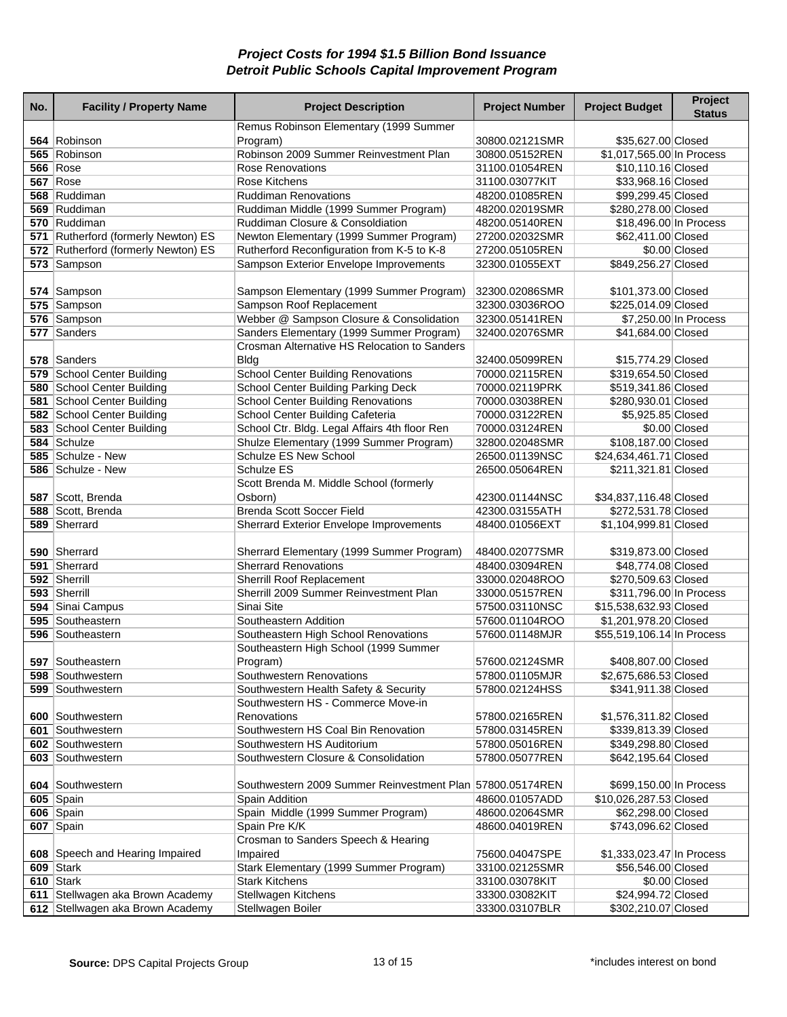| No. | <b>Facility / Property Name</b>     | <b>Project Description</b>                                | <b>Project Number</b> | <b>Project Budget</b>      | Project<br><b>Status</b> |
|-----|-------------------------------------|-----------------------------------------------------------|-----------------------|----------------------------|--------------------------|
|     |                                     | Remus Robinson Elementary (1999 Summer                    |                       |                            |                          |
|     | 564 Robinson                        | Program)                                                  | 30800.02121SMR        | \$35,627.00 Closed         |                          |
|     | 565 Robinson                        | Robinson 2009 Summer Reinvestment Plan                    | 30800.05152REN        | \$1,017,565.00 In Process  |                          |
|     | <b>566 Rose</b>                     | <b>Rose Renovations</b>                                   | 31100.01054REN        | \$10,110.16 Closed         |                          |
|     | <b>567 Rose</b>                     | <b>Rose Kitchens</b>                                      | 31100.03077KIT        | \$33,968.16 Closed         |                          |
|     | 568 Ruddiman                        | <b>Ruddiman Renovations</b>                               | 48200.01085REN        | \$99,299.45 Closed         |                          |
|     | 569 Ruddiman                        | Ruddiman Middle (1999 Summer Program)                     | 48200.02019SMR        | \$280,278.00 Closed        |                          |
|     | 570 Ruddiman                        | Ruddiman Closure & Consoldiation                          | 48200.05140REN        | \$18,496.00 In Process     |                          |
|     | 571 Rutherford (formerly Newton) ES | Newton Elementary (1999 Summer Program)                   | 27200.02032SMR        | \$62,411.00 Closed         |                          |
|     | 572 Rutherford (formerly Newton) ES | Rutherford Reconfiguration from K-5 to K-8                | 27200.05105REN        |                            | \$0.00 Closed            |
|     | 573 Sampson                         | Sampson Exterior Envelope Improvements                    | 32300.01055EXT        | \$849,256.27 Closed        |                          |
|     |                                     |                                                           |                       |                            |                          |
|     | 574 Sampson                         | Sampson Elementary (1999 Summer Program)                  | 32300.02086SMR        | \$101,373.00 Closed        |                          |
|     | 575 Sampson                         | Sampson Roof Replacement                                  | 32300.03036ROO        | \$225,014.09 Closed        |                          |
|     | 576 Sampson                         | Webber @ Sampson Closure & Consolidation                  | 32300.05141REN        |                            | \$7,250.00 In Process    |
|     | 577 Sanders                         | Sanders Elementary (1999 Summer Program)                  | 32400.02076SMR        | \$41,684.00 Closed         |                          |
|     |                                     | Crosman Alternative HS Relocation to Sanders              |                       |                            |                          |
|     | 578 Sanders                         | Bldg                                                      | 32400.05099REN        | \$15,774.29 Closed         |                          |
|     | 579 School Center Building          | <b>School Center Building Renovations</b>                 | 70000.02115REN        | \$319,654.50 Closed        |                          |
|     | 580 School Center Building          | School Center Building Parking Deck                       | 70000.02119PRK        | \$519,341.86 Closed        |                          |
|     | 581 School Center Building          | <b>School Center Building Renovations</b>                 | 70000.03038REN        | \$280,930.01 Closed        |                          |
|     | 582 School Center Building          | School Center Building Cafeteria                          | 70000.03122REN        | \$5,925.85 Closed          |                          |
|     | 583 School Center Building          | School Ctr. Bldg. Legal Affairs 4th floor Ren             | 70000.03124REN        |                            | \$0.00 Closed            |
|     | 584 Schulze                         | Shulze Elementary (1999 Summer Program)                   | 32800.02048SMR        | \$108,187.00 Closed        |                          |
|     | 585 Schulze - New                   | Schulze ES New School                                     | 26500.01139NSC        | \$24,634,461.71 Closed     |                          |
|     | 586 Schulze - New                   | Schulze ES                                                | 26500.05064REN        | \$211,321.81 Closed        |                          |
|     |                                     | Scott Brenda M. Middle School (formerly                   |                       |                            |                          |
|     | 587 Scott, Brenda                   | Osborn)                                                   | 42300.01144NSC        | \$34,837,116.48 Closed     |                          |
|     | 588 Scott, Brenda                   | <b>Brenda Scott Soccer Field</b>                          | 42300.03155ATH        | \$272,531.78 Closed        |                          |
|     | 589 Sherrard                        | Sherrard Exterior Envelope Improvements                   | 48400.01056EXT        | \$1,104,999.81 Closed      |                          |
|     |                                     |                                                           |                       |                            |                          |
|     | 590 Sherrard                        | Sherrard Elementary (1999 Summer Program)                 | 48400.02077SMR        | \$319,873.00 Closed        |                          |
|     | 591 Sherrard                        | <b>Sherrard Renovations</b>                               | 48400.03094REN        | \$48,774.08 Closed         |                          |
|     | 592 Sherrill                        | Sherrill Roof Replacement                                 | 33000.02048ROO        | \$270,509.63 Closed        |                          |
|     | 593 Sherrill                        | Sherrill 2009 Summer Reinvestment Plan                    | 33000.05157REN        | \$311,796.00 In Process    |                          |
|     | 594 Sinai Campus                    | Sinai Site                                                | 57500.03110NSC        | \$15,538,632.93 Closed     |                          |
|     | 595 Southeastern                    | Southeastern Addition                                     | 57600.01104ROO        | \$1,201,978.20 Closed      |                          |
|     | 596 Southeastern                    | Southeastern High School Renovations                      | 57600.01148MJR        | \$55,519,106.14 In Process |                          |
|     |                                     | Southeastern High School (1999 Summer                     |                       |                            |                          |
|     | 597 Southeastern                    | Program)                                                  | 57600.02124SMR        | \$408,807.00 Closed        |                          |
|     | 598 Southwestern                    | Southwestern Renovations                                  | 57800.01105MJR        | \$2,675,686.53 Closed      |                          |
|     | 599 Southwestern                    | Southwestern Health Safety & Security                     | 57800.02124HSS        | \$341,911.38 Closed        |                          |
|     |                                     | Southwestern HS - Commerce Move-in                        |                       |                            |                          |
|     | 600 Southwestern                    | Renovations                                               | 57800.02165REN        | \$1,576,311.82 Closed      |                          |
|     | 601 Southwestern                    | Southwestern HS Coal Bin Renovation                       | 57800.03145REN        | \$339,813.39 Closed        |                          |
|     | 602 Southwestern                    | Southwestern HS Auditorium                                | 57800.05016REN        | \$349,298.80 Closed        |                          |
|     | 603 Southwestern                    | Southwestern Closure & Consolidation                      | 57800.05077REN        | \$642,195.64 Closed        |                          |
|     |                                     |                                                           |                       |                            |                          |
|     | 604 Southwestern                    | Southwestern 2009 Summer Reinvestment Plan 57800.05174REN |                       | \$699,150.00 In Process    |                          |
|     | $605$ Spain                         | <b>Spain Addition</b>                                     | 48600.01057ADD        | \$10,026,287.53 Closed     |                          |
|     | 606 Spain                           | Spain Middle (1999 Summer Program)                        | 48600.02064SMR        | \$62,298.00 Closed         |                          |
|     | 607 Spain                           | Spain Pre K/K                                             | 48600.04019REN        | \$743,096.62 Closed        |                          |
|     |                                     | Crosman to Sanders Speech & Hearing                       |                       |                            |                          |
|     | 608 Speech and Hearing Impaired     | Impaired                                                  | 75600.04047SPE        | \$1,333,023.47 In Process  |                          |
|     | 609 Stark                           | Stark Elementary (1999 Summer Program)                    | 33100.02125SMR        | \$56,546.00 Closed         |                          |
|     | 610 Stark                           | <b>Stark Kitchens</b>                                     | 33100.03078KIT        |                            | \$0.00 Closed            |
|     | 611 Stellwagen aka Brown Academy    | Stellwagen Kitchens                                       | 33300.03082KIT        | \$24,994.72 Closed         |                          |
|     | 612 Stellwagen aka Brown Academy    | Stellwagen Boiler                                         | 33300.03107BLR        | \$302,210.07 Closed        |                          |
|     |                                     |                                                           |                       |                            |                          |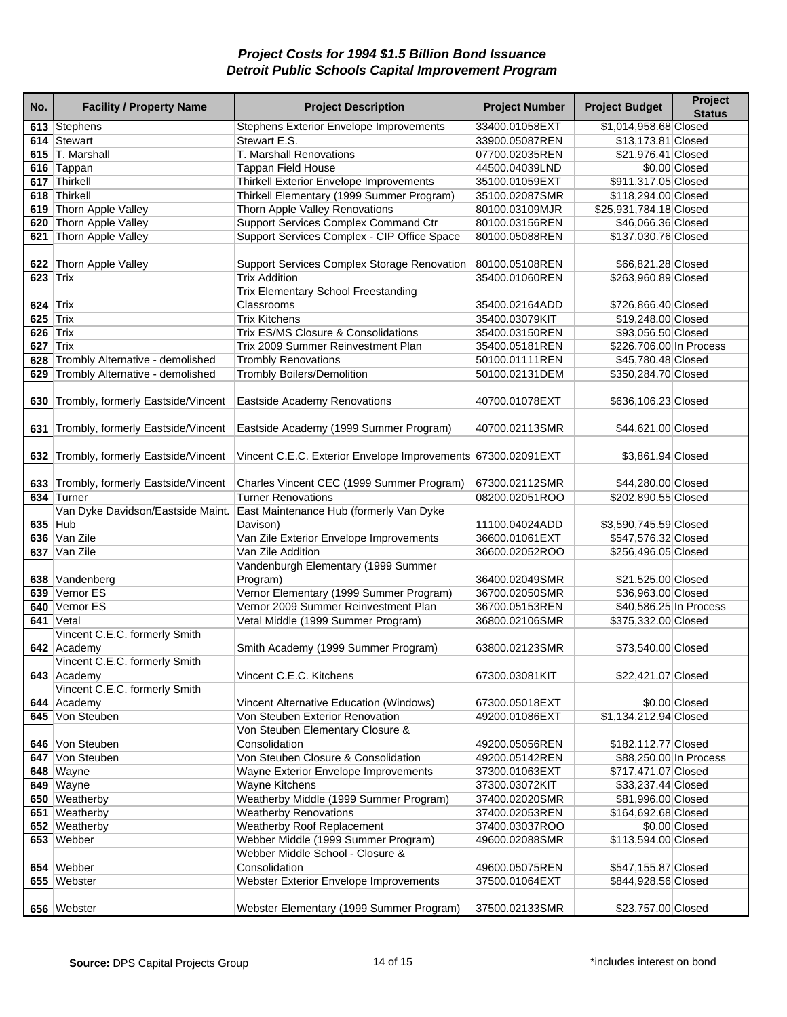| No.             | <b>Facility / Property Name</b>                      | <b>Project Description</b>                                              | <b>Project Number</b> | <b>Project Budget</b>                     | Project<br><b>Status</b> |
|-----------------|------------------------------------------------------|-------------------------------------------------------------------------|-----------------------|-------------------------------------------|--------------------------|
|                 | 613 Stephens                                         | Stephens Exterior Envelope Improvements                                 | 33400.01058EXT        | \$1,014,958.68 Closed                     |                          |
|                 | 614 Stewart                                          | Stewart E.S.                                                            | 33900.05087REN        | \$13,173.81 Closed                        |                          |
|                 | 615 T. Marshall                                      | T. Marshall Renovations                                                 | 07700.02035REN        | \$21,976.41 Closed                        |                          |
|                 | 616 Tappan                                           | <b>Tappan Field House</b>                                               | 44500.04039LND        |                                           | \$0.00 Closed            |
|                 | 617 Thirkell                                         | <b>Thirkell Exterior Envelope Improvements</b>                          | 35100.01059EXT        | \$911,317.05 Closed                       |                          |
|                 | 618 Thirkell                                         | Thirkell Elementary (1999 Summer Program)                               | 35100.02087SMR        | \$118,294.00 Closed                       |                          |
|                 | 619 Thorn Apple Valley                               | Thorn Apple Valley Renovations                                          | 80100.03109MJR        | \$25,931,784.18 Closed                    |                          |
|                 | 620 Thorn Apple Valley                               | Support Services Complex Command Ctr                                    | 80100.03156REN        | \$46,066.36 Closed                        |                          |
|                 | 621 Thorn Apple Valley                               | Support Services Complex - CIP Office Space                             | 80100.05088REN        | \$137,030.76 Closed                       |                          |
|                 |                                                      |                                                                         |                       |                                           |                          |
|                 | 622 Thorn Apple Valley                               | Support Services Complex Storage Renovation                             | 80100.05108REN        | \$66,821.28 Closed                        |                          |
| <b>623 Trix</b> |                                                      | <b>Trix Addition</b>                                                    | 35400.01060REN        | \$263,960.89 Closed                       |                          |
|                 |                                                      | <b>Trix Elementary School Freestanding</b>                              |                       |                                           |                          |
| 624 $Trix$      |                                                      | Classrooms                                                              | 35400.02164ADD        | \$726,866.40 Closed                       |                          |
| 625 $Trix$      |                                                      | <b>Trix Kitchens</b>                                                    | 35400.03079KIT        | \$19,248.00 Closed                        |                          |
| $626$ Trix      |                                                      | Trix ES/MS Closure & Consolidations                                     | 35400.03150REN        | \$93,056.50 Closed                        |                          |
| 627 $Trix$      |                                                      | Trix 2009 Summer Reinvestment Plan                                      | 35400.05181REN        | \$226,706.00 In Process                   |                          |
|                 | 628 Trombly Alternative - demolished                 | <b>Trombly Renovations</b>                                              | 50100.01111REN        | \$45,780.48 Closed                        |                          |
| 629             | Trombly Alternative - demolished                     | <b>Trombly Boilers/Demolition</b>                                       | 50100.02131DEM        | \$350,284.70 Closed                       |                          |
|                 |                                                      |                                                                         |                       |                                           |                          |
| 630             | Trombly, formerly Eastside/Vincent                   | Eastside Academy Renovations                                            | 40700.01078EXT        | \$636,106.23 Closed                       |                          |
|                 |                                                      |                                                                         | 40700.02113SMR        |                                           |                          |
| 631             | Trombly, formerly Eastside/Vincent                   | Eastside Academy (1999 Summer Program)                                  |                       | \$44,621.00 Closed                        |                          |
|                 | 632 Trombly, formerly Eastside/Vincent               | Vincent C.E.C. Exterior Envelope Improvements 67300.02091EXT            |                       | \$3,861.94 Closed                         |                          |
|                 |                                                      |                                                                         | 67300.02112SMR        |                                           |                          |
|                 | 633 Trombly, formerly Eastside/Vincent<br>634 Turner | Charles Vincent CEC (1999 Summer Program)<br><b>Turner Renovations</b>  |                       | \$44,280.00 Closed<br>\$202,890.55 Closed |                          |
|                 | Van Dyke Davidson/Eastside Maint.                    | East Maintenance Hub (formerly Van Dyke                                 | 08200.02051ROO        |                                           |                          |
| 635 Hub         |                                                      | Davison)                                                                | 11100.04024ADD        | \$3,590,745.59 Closed                     |                          |
|                 | 636 Van Zile                                         | Van Zile Exterior Envelope Improvements                                 | 36600.01061EXT        | \$547,576.32 Closed                       |                          |
|                 | 637 Van Zile                                         | Van Zile Addition                                                       | 36600.02052ROO        | \$256,496.05 Closed                       |                          |
|                 |                                                      | Vandenburgh Elementary (1999 Summer                                     |                       |                                           |                          |
|                 | 638 Vandenberg                                       | Program)                                                                | 36400.02049SMR        | \$21,525.00 Closed                        |                          |
|                 | 639 Vernor ES                                        | Vernor Elementary (1999 Summer Program)                                 | 36700.02050SMR        | \$36,963.00 Closed                        |                          |
|                 | 640 Vernor ES                                        | Vernor 2009 Summer Reinvestment Plan                                    | 36700.05153REN        | \$40,586.25 In Process                    |                          |
|                 | 641 Vetal                                            | Vetal Middle (1999 Summer Program)                                      | 36800.02106SMR        | \$375,332.00 Closed                       |                          |
|                 | Vincent C.E.C. formerly Smith                        |                                                                         |                       |                                           |                          |
|                 | 642 Academy                                          | Smith Academy (1999 Summer Program)                                     | 63800.02123SMR        | \$73,540.00 Closed                        |                          |
|                 | Vincent C.E.C. formerly Smith                        |                                                                         |                       |                                           |                          |
|                 | 643 Academy                                          | Vincent C.E.C. Kitchens                                                 | 67300.03081KIT        | \$22,421.07 Closed                        |                          |
|                 | Vincent C.E.C. formerly Smith                        |                                                                         |                       |                                           |                          |
|                 | 644 Academy                                          | Vincent Alternative Education (Windows)                                 | 67300.05018EXT        |                                           | \$0.00 Closed            |
|                 | 645 Von Steuben                                      | Von Steuben Exterior Renovation                                         | 49200.01086EXT        | \$1,134,212.94 Closed                     |                          |
|                 |                                                      | Von Steuben Elementary Closure &                                        |                       |                                           |                          |
|                 | 646 Von Steuben                                      | Consolidation                                                           | 49200.05056REN        | \$182,112.77 Closed                       |                          |
|                 | 647 Von Steuben                                      | Von Steuben Closure & Consolidation                                     | 49200.05142REN        | \$88,250.00 In Process                    |                          |
|                 | 648 Wayne                                            | Wayne Exterior Envelope Improvements                                    | 37300.01063EXT        | \$717,471.07 Closed                       |                          |
|                 | 649 Wayne                                            | <b>Wayne Kitchens</b>                                                   | 37300.03072KIT        | \$33,237.44 Closed                        |                          |
|                 | 650 Weatherby                                        | Weatherby Middle (1999 Summer Program)                                  | 37400.02020SMR        | \$81,996.00 Closed                        |                          |
|                 | 651 Weatherby                                        | <b>Weatherby Renovations</b>                                            | 37400.02053REN        | \$164,692.68 Closed                       |                          |
|                 | 652 Weatherby                                        | <b>Weatherby Roof Replacement</b>                                       | 37400.03037ROO        |                                           | $$0.00$ Closed           |
|                 | 653 Webber                                           | Webber Middle (1999 Summer Program)<br>Webber Middle School - Closure & | 49600.02088SMR        | \$113,594.00 Closed                       |                          |
|                 | 654 Webber                                           | Consolidation                                                           | 49600.05075REN        | \$547,155.87 Closed                       |                          |
|                 | 655 Webster                                          | Webster Exterior Envelope Improvements                                  | 37500.01064EXT        | \$844,928.56 Closed                       |                          |
|                 |                                                      |                                                                         |                       |                                           |                          |
|                 | 656 Webster                                          | Webster Elementary (1999 Summer Program)                                | 37500.02133SMR        | \$23,757.00 Closed                        |                          |